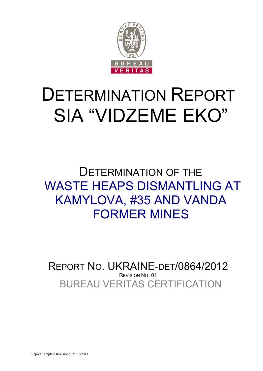

# DETERMINATION REPORT SIA "VIDZEME EKO"

## DETERMINATION OF THE WASTE HEAPS DISMANTLING AT KAMYLOVA, #35 AND VANDA FORMER MINES

BUREAU VERITAS CERTIFICATION REPORT NO. UKRAINE-DET/0864/2012 REVISION NO. 01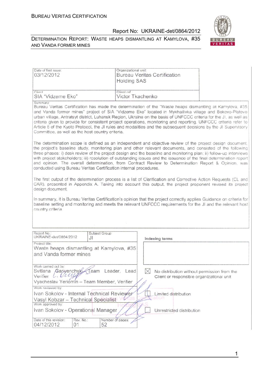

#### DETERMINATION REPORT: WASTE HEAPS DISMANTLING AT KAMYLOVA, #35 AND VANDA FORMER MINES

| Date of first issue:<br>03/12/2012                                                                                                                                                                                                                                                                                                                                                                                                                                                                                                                                                                                                              | Organizational unit:<br><b>Bureau Veritas Certification</b><br><b>Holding SAS</b>                                                                                                                                                                                                                                                                                                                                                                                                                                                                                             |  |
|-------------------------------------------------------------------------------------------------------------------------------------------------------------------------------------------------------------------------------------------------------------------------------------------------------------------------------------------------------------------------------------------------------------------------------------------------------------------------------------------------------------------------------------------------------------------------------------------------------------------------------------------------|-------------------------------------------------------------------------------------------------------------------------------------------------------------------------------------------------------------------------------------------------------------------------------------------------------------------------------------------------------------------------------------------------------------------------------------------------------------------------------------------------------------------------------------------------------------------------------|--|
| Client:<br>SIA "Vidzeme Eko"                                                                                                                                                                                                                                                                                                                                                                                                                                                                                                                                                                                                                    | Client ref.:<br>Victor Tkachenko                                                                                                                                                                                                                                                                                                                                                                                                                                                                                                                                              |  |
| Summary:<br>Committee, as well as the host country criteria.                                                                                                                                                                                                                                                                                                                                                                                                                                                                                                                                                                                    | Bureau Veritas Certification has made the determination of the "Waste heaps dismantling at Kamylova, #35<br>and Vanda former mines" project of SIA "Vidzeme Eko" located in Mykhailivka village and Bokovo-Platovo<br>urban village, Antratsyt district, Luhansk Region, Ukraine on the basis of UNFCCC criteria for the JI, as well as<br>criteria given to provide for consistent project operations, monitoring and reporting. UNFCCC criteria refer to<br>Article 6 of the Kyoto Protocol, the JI rules and modalities and the subsequent decisions by the JI Supervisory |  |
| The determination scope is defined as an independent and objective review of the project design document,<br>the project's baseline study, monitoring plan and other relevant documents, and consisted of the following<br>three phases: i) desk review of the project design and the baseline and monitoring plan; ii) follow-up interviews<br>with project stakeholders; iii) resolution of outstanding issues and the issuance of the final determination report<br>and opinion. The overall determination, from Contract Review to Determination Report & Opinion, was<br>conducted using Bureau Veritas Certification internal procedures. |                                                                                                                                                                                                                                                                                                                                                                                                                                                                                                                                                                               |  |
| design document.                                                                                                                                                                                                                                                                                                                                                                                                                                                                                                                                                                                                                                | The first output of the determination process is a list of Clarification and Corrective Action Requests (CL and<br>CAR), presented in Appendix A. Taking into account this output, the project proponent revised its project                                                                                                                                                                                                                                                                                                                                                  |  |
| country criteria.                                                                                                                                                                                                                                                                                                                                                                                                                                                                                                                                                                                                                               | In summary, it is Bureau Veritas Certification's opinion that the project correctly applies Guidance on criteria for<br>baseline setting and monitoring and meets the relevant UNFCCC requirements for the JI and the relevant host                                                                                                                                                                                                                                                                                                                                           |  |

| Report No.:<br>UKRAINE-det/0864/2012                                                                                                                                                                                                                             | Subject Group:<br>J١                     | Indexing terms |  |
|------------------------------------------------------------------------------------------------------------------------------------------------------------------------------------------------------------------------------------------------------------------|------------------------------------------|----------------|--|
| Project title:<br>and Vanda former mines                                                                                                                                                                                                                         | Waste heaps dismantling at Kamylova, #35 |                |  |
| Work carried out by:<br>Svitlana <i>Gariyenchyk</i> Team<br>Leader, Lead<br>No distribution without permission from the<br>Livelle<br>Verifier<br>Client or responsible organizational unit<br>Vyacheslav Yeriomín -- Team Member, Verifier<br>Work reviewed by: |                                          |                |  |
| Ivan Sokolov - Internal Technical Reviewer<br>Limited distribution<br>Vasyl Kobzar - Technical Specialist<br>Work approved by:<br>Ivan Sokolov - Operational Manager<br>Unrestricted distribution                                                                |                                          |                |  |
| Date of this revision:<br>04/12/2012<br>01                                                                                                                                                                                                                       | Rev. No.:<br>Number of pages:<br>52      |                |  |

1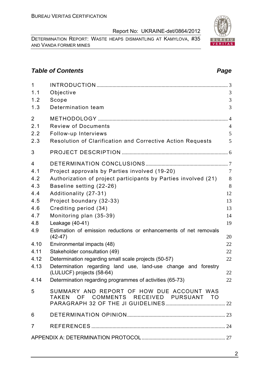DETERMINATION REPORT: WASTE HEAPS DISMANTLING AT KAMYLOVA, #35 AND VANDA FORMER MINES

#### **Table of Contents** *Page Page Page Page Page Page*

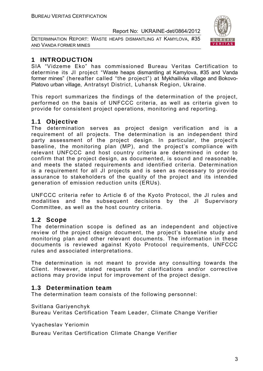DETERMINATION REPORT: WASTE HEAPS DISMANTLING AT KAMYLOVA, #35 AND VANDA FORMER MINES



#### **1 INTRODUCTION**

SIA "Vidzeme Eko" has commissioned Bureau Veritas Certification to determine its JI project "Waste heaps dismantling at Kamylova, #35 and Vanda former mines" (hereafter called "the project") at Mykhailivka village and Bokovo-Platovo urban village, Antratsyt District, Luhansk Region, Ukraine.

This report summarizes the findings of the determination of the project, performed on the basis of UNFCCC criteria, as well as criteria given to provide for consistent project operations, monitoring and reporting.

#### **1.1 Objective**

The determination serves as project design verification and is a requirement of all projects. The determination is an independent third party assessment of the project design. In particular, the project's baseline, the monitoring plan (MP), and the project's compliance with relevant UNFCCC and host country criteria are determined in order to confirm that the project design, as documented, is sound and reasonable, and meets the stated requirements and identified criteria. Determination is a requirement for all JI projects and is seen as necessary to provide assurance to stakeholders of the quality of the project and its intended generation of emission reduction units (ERUs).

UNFCCC criteria refer to Article 6 of the Kyoto Protocol, the JI rules and modalities and the subsequent decisions by the JI Supervisory Committee, as well as the host country criteria.

#### **1.2 Scope**

The determination scope is defined as an independent and objective review of the project design document, the project's baseline study and monitoring plan and other relevant documents. The information in these documents is reviewed against Kyoto Protocol requirements, UNFCCC rules and associated interpretations.

The determination is not meant to provide any consulting towards the Client. However, stated requests for clarifications and/or corrective actions may provide input for improvement of the project design.

#### **1.3 Determination team**

The determination team consists of the following personnel:

Svitlana Gariyenchyk

Bureau Veritas Certification Team Leader, Climate Change Verifier

Vyacheslav Yeriomin

Bureau Veritas Certification Climate Change Verifier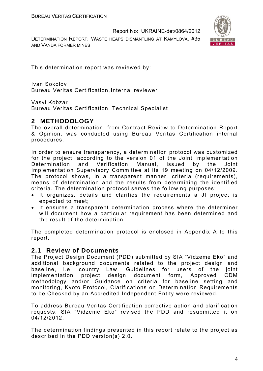DETERMINATION REPORT: WASTE HEAPS DISMANTLING AT KAMYLOVA, #35 AND VANDA FORMER MINES



This determination report was reviewed by:

Ivan Sokolov Bureau Veritas Certification, Internal reviewer

Vasyl Kobzar

Bureau Veritas Certification, Technical Specialist

#### **2 METHODOLOGY**

The overall determination, from Contract Review to Determination Report & Opinion, was conducted using Bureau Veritas Certification internal procedures.

In order to ensure transparency, a determination protocol was customized for the project, according to the version 01 of the Joint Implementation Determination and Verification Manual, issued by the Joint Implementation Supervisory Committee at its 19 meeting on 04/12/2009. The protocol shows, in a transparent manner, criteria (requirements), means of determination and the results from determining the identified criteria. The determination protocol serves the following purposes:

- It organizes, details and clarifies the requirements a JI project is expected to meet;
- It ensures a transparent determination process where the determiner will document how a particular requirement has been determined and the result of the determination.

The completed determination protocol is enclosed in Appendix A to this report.

#### **2.1 Review of Documents**

The Project Design Document (PDD) submitted by SIA "Vidzeme Eko" and additional background documents related to the project design and baseline, i.e. country Law, Guidelines for users of the joint implementation project design document form, Approved CDM methodology and/or Guidance on criteria for baseline setting and monitoring, Kyoto Protocol, Clarifications on Determination Requirements to be Checked by an Accredited Independent Entity were reviewed.

To address Bureau Veritas Certification corrective action and clarification requests, SIA "Vidzeme Eko" revised the PDD and resubmitted it on 04/12/2012.

The determination findings presented in this report relate to the project as described in the PDD version(s) 2.0.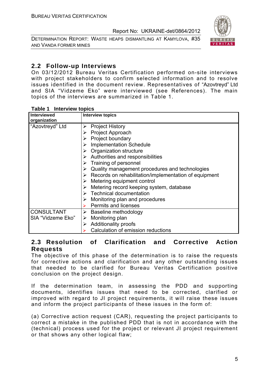DETERMINATION REPORT: WASTE HEAPS DISMANTLING AT KAMYLOVA, #35 AND VANDA FORMER MINES



#### **2.2 Follow-up Interviews**

On 03/12/2012 Bureau Veritas Certification performed on-site interviews with project stakeholders to confirm selected information and to resolve issues identified in the document review. Representatives of "Azovtreyd" Ltd and SIA "Vidzeme Eko" were interviewed (see References). The main topics of the interviews are summarized in Table 1.

| <b>I AVIC I</b> IIIICI VICW LUDIUS |                                                                        |  |
|------------------------------------|------------------------------------------------------------------------|--|
| <b>Interviewed</b>                 | <b>Interview topics</b>                                                |  |
| organization                       |                                                                        |  |
| "Azovtreyd" Ltd                    | $\triangleright$ Project History                                       |  |
|                                    | <b>Project Approach</b><br>➤                                           |  |
|                                    | $\triangleright$ Project boundary                                      |  |
|                                    | $\triangleright$ Implementation Schedule                               |  |
|                                    | $\triangleright$ Organization structure                                |  |
|                                    | $\triangleright$ Authorities and responsibilities                      |  |
|                                    | $\triangleright$ Training of personnel                                 |  |
|                                    | Quality management procedures and technologies<br>➤                    |  |
|                                    | $\triangleright$ Records on rehabilitation/implementation of equipment |  |
|                                    | $\triangleright$ Metering equipment control                            |  |
|                                    | Metering record keeping system, database<br>➤                          |  |
|                                    | $\triangleright$ Technical documentation                               |  |
|                                    | $\triangleright$ Monitoring plan and procedures                        |  |
|                                    | <b>Permits and licenses</b>                                            |  |
| <b>CONSULTANT</b>                  | $\triangleright$ Baseline methodology                                  |  |
| SIA "Vidzeme Eko"                  | Monitoring plan<br>➤                                                   |  |
|                                    | <b>Additionality proofs</b><br>➤                                       |  |
|                                    | Calculation of emission reductions                                     |  |

#### **Table 1 Interview topics**

#### **2.3 Resolution of Clarification and Corrective Action Requests**

The objective of this phase of the determination is to raise the requests for corrective actions and clarification and any other outstanding issues that needed to be clarified for Bureau Veritas Certification positive conclusion on the project design.

If the determination team, in assessing the PDD and supporting documents, identifies issues that need to be corrected, clarified or improved with regard to JI project requirements, it will raise these issues and inform the project participants of these issues in the form of:

(a) Corrective action request (CAR), requesting the project participants to correct a mistake in the published PDD that is not in accordance with the (technical) process used for the project or relevant JI project requirement or that shows any other logical flaw;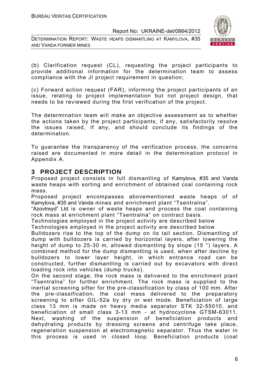DETERMINATION REPORT: WASTE HEAPS DISMANTLING AT KAMYLOVA, #35 AND VANDA FORMER MINES



(b) Clarification request (CL), requesting the project participants to provide additional information for the determination team to assess compliance with the JI project requirement in question;

(c) Forward action request (FAR), informing the project participants of an issue, relating to project implementation but not project design, that needs to be reviewed during the first verification of the project.

The determination team will make an objective assessment as to whether the actions taken by the project participants, if any, satisfactorily resolve the issues raised, if any, and should conclude its findings of the determination.

To guarantee the transparency of the verification process, the concerns raised are documented in more detail in the determination protocol in Appendix A.

#### **3 PROJECT DESCRIPTION**

Proposed project consists in full dismantling of Kamylova, #35 and Vanda waste heaps with sorting and enrichment of obtained coal containing rock mass.

Proposed project encompasses abovementioned waste heaps of of Kamylova, #35 and Vanda mines and enrichment plant "Tsentralna".

"Azovtreyd" Ltd is owner of waste heaps and process the coal containing rock mass at enrichment plant "Tsentralna" on contract basis.

Technologies employed in the project activity are described below

Technologies employed in the project activity are described below

Bulldozers rise to the top of the dump on its tail section. Dismantling of dump with bulldozers is carried by horizontal layers, after lowering the height of dump to 25-30 m, allowed dismantling by slope (15 °) layers. A combined method for the dump dismantling is used, when after decline by bulldozers to lower layer height, in which entrance road can be constructed, further dismantling is carried out by excavators with direct loading rock into vehicles (dump trucks).

On the second stage, the rock mass is delivered to the enrichment plant "Tsentralna" for further enrichment. The rock mass is supplied to the inertial screening sifter for the pre-classification by class of 100 mm. After the pre-classification, the coal mass delivered to the preparatory screening to sifter GIL-52a by dry or wet mode. Beneficiation of large class 13 mm is made on heavy media separator STK 32-55010, and beneficiation of small class 3-13 mm - at hydrocyclone GTSM-63011. Next, washing of the suspension of beneficiation products and dehydrating products by dressing screens and centrifuge take place, regeneration suspension at electromagnetic separator. Thus the water in this process is used in closed loop. Beneficiation products (coal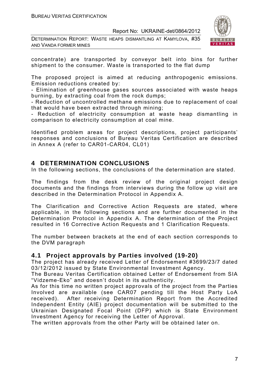DETERMINATION REPORT: WASTE HEAPS DISMANTLING AT KAMYLOVA, #35 AND VANDA FORMER MINES



concentrate) are transported by conveyor belt into bins for further shipment to the consumer. Waste is transported to the flat dump

The proposed project is aimed at reducing anthropogenic emissions. Emission reductions created by:

- Elimination of greenhouse gases sources associated with waste heaps burning, by extracting coal from the rock dumps;

- Reduction of uncontrolled methane emissions due to replacement of coal that would have been extracted through mining;

- Reduction of electricity consumption at waste heap dismantling in comparison to electricity consumption at coal mine.

Identified problem areas for project descriptions, project participants' responses and conclusions of Bureau Veritas Certification are described in Annex A (refer to CAR01-CAR04, CL01)

#### **4 DETERMINATION CONCLUSIONS**

In the following sections, the conclusions of the determination are stated.

The findings from the desk review of the original project design documents and the findings from interviews during the follow up visit are described in the Determination Protocol in Appendix A.

The Clarification and Corrective Action Requests are stated, where applicable, in the following sections and are further documented in the Determination Protocol in Appendix A. The determination of the Project resulted in 16 Corrective Action Requests and 1 Clarification Requests.

The number between brackets at the end of each section corresponds to the DVM paragraph

#### **4.1 Project approvals by Parties involved (19-20)**

The project has already received Letter of Endorsement #3699/23/7 dated 03/12/2012 issued by State Environmental Investment Agency.

The Bureau Veritas Certification obtained Letter of Endorsement from SIA "Vidzeme-Eko" and doesn't doubt in its authenticity.

As for this time no written project approvals of the project from the Parties Involved are available (see CAR07 pending till the Host Party LoA received). After receiving Determination Report from the Accredited Independent Entity (AIE) project documentation will be submitted to the Ukrainian Designated Focal Point (DFP) which is State Environment Investment Agency for receiving the Letter of Approval.

The written approvals from the other Party will be obtained later on.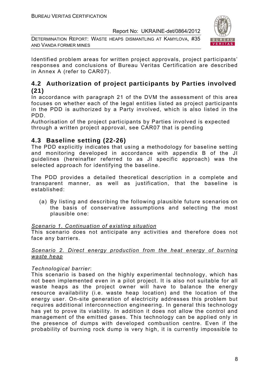DETERMINATION REPORT: WASTE HEAPS DISMANTLING AT KAMYLOVA, #35 AND VANDA FORMER MINES



Identified problem areas for written project approvals, project participants' responses and conclusions of Bureau Veritas Certification are described in Annex A (refer to CAR07).

#### **4.2 Authorization of project participants by Parties involved (21)**

In accordance with paragraph 21 of the DVM the assessment of this area focuses on whether each of the legal entities listed as project participants in the PDD is authorized by a Party involved, which is also listed in the PDD.

Authorisation of the project participants by Parties involved is expected through a written project approval, see CAR07 that is pending

#### **4.3 Baseline setting (22-26)**

The PDD explicitly indicates that using a methodology for baseline setting and monitoring developed in accordance with appendix B of the JI guidelines (hereinafter referred to as JI specific approach) was the selected approach for identifying the baseline.

The PDD provides a detailed theoretical description in a complete and transparent manner, as well as justification, that the baseline is established:

(a) By listing and describing the following plausible future scenarios on the basis of conservative assumptions and selecting the most plausible one:

#### *Scenario 1. Continuation of existing situation*

This scenario does not anticipate any activities and therefore does not face any barriers.

#### *Scenario 2. Direct energy production from the heat energy of burning waste heap*

#### *Technological barrier*:

This scenario is based on the highly experimental technology, which has not been implemented even in a pilot project. It is also not suitable for all waste heaps as the project owner will have to balance the energy resource availability (i.e. waste heap location) and the location of the energy user. On-site generation of electricity addresses this problem but requires additional interconnection engineering. In general this technology has yet to prove its viability. In addition it does not allow the control and management of the emitted gases. This technology can be applied only in the presence of dumps with developed combustion centre. Even if the probability of burning rock dump is very high, it is currently impossible to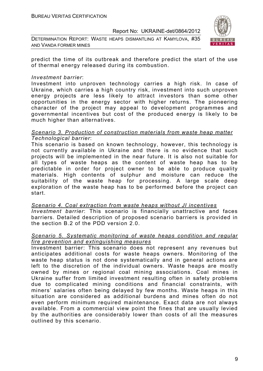DETERMINATION REPORT: WASTE HEAPS DISMANTLING AT KAMYLOVA, #35 AND VANDA FORMER MINES



predict the time of its outbreak and therefore predict the start of the use of thermal energy released during its combustion.

#### *Investment barrier*:

Investment into unproven technology carries a high risk. In case of Ukraine, which carries a high country risk, investment into such unproven energy projects are less likely to attract investors than some other opportunities in the energy sector with higher returns. The pioneering character of the project may appeal to development programmes and governmental incentives but cost of the produced energy is likely to be much higher than alternatives.

#### *Scenario 3. Production of construction materials from waste heap matter Technological barrier*:

This scenario is based on known technology, however, this technology is not currently available in Ukraine and there is no evidence that such projects will be implemented in the near future. It is also not suitable for all types of waste heaps as the content of waste heap has to be predictable in order for project owner to be able to produce quality materials. High contents of sulphur and moisture can reduce the suitability of the waste heap for processing. A large scale deep exploration of the waste heap has to be performed before the project can start.

*Scenario 4. Coal extraction from waste heaps without JI incentives Investment barrier*: This scenario is financially unattractive and faces barriers. Detailed description of proposed scenario barriers is provided in the section B.2 of the PDD version 2.0.

#### *Scenario 5. Systematic monitoring of waste heaps condition and regular fire prevention and extinguishing measures*

Investment barrier: This scenario does not represent any revenues but anticipates additional costs for waste heaps owners. Monitoring of the waste heap status is not done systematically and in general actions are left to the discretion of the individual owners. Waste heaps are mostly owned by mines or regional coal mining associations. Coal mines in Ukraine suffer from limited investment resulting often in safety problems due to complicated mining conditions and financial constraints, with miners' salaries often being delayed by few months. Waste heaps in this situation are considered as additional burdens and mines often do not even perform minimum required maintenance. Exact data are not always available. From a commercial view point the fines that are usually levied by the authorities are considerably lower than costs of all the measures outlined by this scenario.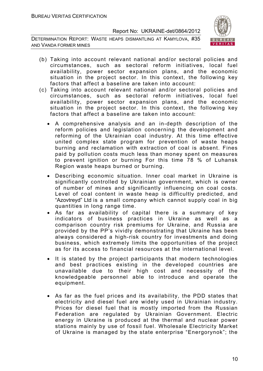DETERMINATION REPORT: WASTE HEAPS DISMANTLING AT KAMYLOVA, #35 AND VANDA FORMER MINES



- (b) Taking into account relevant national and/or sectoral policies and circumstances, such as sectoral reform initiatives, local fuel availability, power sector expansion plans, and the economic situation in the project sector. In this context, the following key factors that affect a baseline are taken into account:
- (c) Taking into account relevant national and/or sectoral policies and circumstances, such as sectoral reform initiatives, local fuel availability, power sector expansion plans, and the economic situation in the project sector. In this context, the following key factors that affect a baseline are taken into account:
	- A comprehensive analysis and an in-depth description of the reform policies and legislation concerning the development and reforming of the Ukrainian coal industry. At this time effective united complex state program for prevention of waste heaps burning and reclamation with extraction of coal is absent. Fines paid by pollution costs much less than money spent on measures to prevent ignition or burning For this time 78 % of Luhansk Region waste heaps burned or burning.
	- Describing economic situation. Inner coal market in Ukraine is significantly controlled by Ukrainian government, which is owner of number of mines and significantly influencing on coal costs. Level of coal content in waste heap is difficultly predicted, and "Azovtreyd" Ltd is a small company which cannot supply coal in big quantities in long range time.
	- As far as availability of capital there is a summary of key indicators of business practices in Ukraine as well as a comparison country risk premiums for Ukraine, and Russia are provided by the PP's vividly demonstrating that Ukraine has been always considered a high-risk country for investments and doing business, which extremely limits the opportunities of the project as for its access to financial resources at the international level.
	- It is stated by the project participants that modern technologies and best practices existing in the developed countries are unavailable due to their high cost and necessity of the knowledgeable personnel able to introduce and operate the equipment.
	- As far as the fuel prices and its availability, the PDD states that electricity and diesel fuel are widely used in Ukrainian industry. Prices for diesel fuel that is mostly imported from the Russian Federation are regulated by Ukrainian Government. Electric energy in Ukraine is produced at the thermal and nuclear power stations mainly by use of fossil fuel. Wholesale Electricity Market of Ukraine is managed by the state enterprise "Energorynok"; the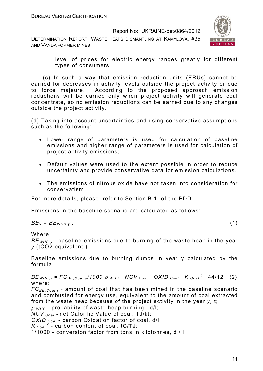DETERMINATION REPORT: WASTE HEAPS DISMANTLING AT KAMYLOVA, #35 AND VANDA FORMER MINES



level of prices for electric energy ranges greatly for different types of consumers.

 (c) In such a way that emission reduction units (ERUs) cannot be earned for decreases in activity levels outside the project activity or due to force majeure. According to the proposed approach emission reductions will be earned only when project activity will generate coal concentrate, so no emission reductions can be earned due to any changes outside the project activity.

(d) Taking into account uncertainties and using conservative assumptions such as the following:

- Lower range of parameters is used for calculation of baseline emissions and higher range of parameters is used for calculation of project activity emissions;
- Default values were used to the extent possible in order to reduce uncertainty and provide conservative data for emission calculations.
- The emissions of nitrous oxide have not taken into consideration for conservatism

For more details, please, refer to Section B.1. of the PDD.

Emissions in the baseline scenario are calculated as follows:

$$
BE_y = BE_{WHB,y} \t\t(1)
$$

Where:

*BEWHB,y -* baseline emissions due to burning of the waste heap in the year *y* (tCO2 equivalent ),

Baseline emissions due to burning dumps in year y calculated by the formula:

 $BE_{WHB,V}$  =  $FC_{BE,Coal,V}$  /1000 ·  $\rho$  whb · NCV  $_{Coal}$  · OXID  $_{Coal}$  · K  $_{Coal}$  <sup>c</sup> · 44/12 (2) where:

*FCBE,Coal,y* - amount of coal that has been mined in the baseline scenario and combusted for energy use, equivalent to the amount of coal extracted from the waste heap because of the project activity in the year *y,* t;

<sup>ρ</sup> *WHB* - probability of waste heap burning , d/l;

*NCV Coal* - net Calorific Value of coal, TJ/kt;

*OXID Coal* - carbon Oxidation factor of coal, d/l;

 $K_{Coal}^c$  - carbon content of coal, tC/TJ;

1/1000 - conversion factor from tons in kilotonnes, d / l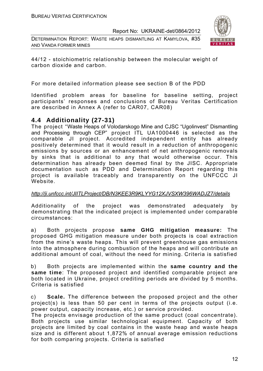DETERMINATION REPORT: WASTE HEAPS DISMANTLING AT KAMYLOVA, #35 AND VANDA FORMER MINES



44/12 - stoichiometric relationship between the molecular weight of carbon dioxide and carbon.

For more detailed information please see section B of the PDD

Identified problem areas for baseline for baseline setting, project participants' responses and conclusions of Bureau Veritas Certification are described in Annex A (refer to CAR07, СAR08)

#### **4.4 Additionality (27-31)**

The project "Waste Heaps of Volodarskogo Mine and CJSC "Ugolinvest" Dismantling and Processing through CEP" project ITL UA1000446 is selected as the comparable JI project. Accredited independent entity has already positively determined that it would result in a reduction of anthropogenic emissions by sources or an enhancement of net anthropogenic removals by sinks that is additional to any that would otherwise occur. This determination has already been deemed final by the JISC. Appropriate documentation such as PDD and Determination Report regarding this project is available traceably and transparently on the UNFCCC JI Website.

#### *http://ji.unfccc.int/JIITLProject/DB/N3KEE3R9KLYYG12XJVSXW396WADJZ7/details*

Additionality of the project was demonstrated adequately by demonstrating that the indicated project is implemented under comparable circumstances:

a) Both projects propose **same GHG mitigation measure:** The proposed GHG mitigation measure under both projects is coal extraction from the mine's waste heaps. This will prevent greenhouse gas emissions into the atmosphere during combustion of the heaps and will contribute an additional amount of coal, without the need for mining. Criteria is satisfied

b) Both projects are implemented within the **same country and the same time**: The proposed project and identified comparable project are both located in Ukraine, project crediting periods are divided by 5 months. Criteria is satisfied

c) **Scale.** The difference between the proposed project and the other project(s) is less than 50 per cent in terms of the projects output (i.e. power output, capacity increase, etc.) or service provided.

The projects envisage production of the same product (coal concentrate). Both projects use similar technological equipment. Capacity of both projects are limited by coal contains in the waste heap and waste heaps size and is different about 1,872% of annual average emission reductions for both comparing projects. Criteria is satisfied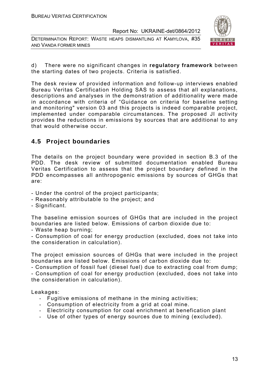DETERMINATION REPORT: WASTE HEAPS DISMANTLING AT KAMYLOVA, #35 AND VANDA FORMER MINES



d) There were no significant changes in **regulatory framework** between the starting dates of two projects. Criteria is satisfied.

The desk review of provided information and follow-up interviews enabled Bureau Veritas Certification Holding SAS to assess that all explanations, descriptions and analyses in the demonstration of additionality were made in accordance with criteria of "Guidance on criteria for baseline setting and monitoring" version 03 and this projects is indeed comparable project, implemented under comparable circumstances. The proposed JI activity provides the reductions in emissions by sources that are additional to any that would otherwise occur.

#### **4.5 Project boundaries**

The details on the project boundary were provided in section B.3 of the PDD. The desk review of submitted documentation enabled Bureau Veritas Certification to assess that the project boundary defined in the PDD encompasses all anthropogenic emissions by sources of GHGs that are:

- Under the control of the project participants;
- Reasonably attributable to the project; and
- Significant.

The baseline emission sources of GHGs that are included in the project boundaries are listed below. Emissions of carbon dioxide due to:

- Waste heap burning;

- Consumption of coal for energy production (excluded, does not take into the consideration in calculation).

The project emission sources of GHGs that were included in the project boundaries are listed below. Emissions of carbon dioxide due to:

- Consumption of fossil fuel (diesel fuel) due to extracting coal from dump; - Consumption of coal for energy production (excluded, does not take into the consideration in calculation).

Leakages:

- Fugitive emissions of methane in the mining activities;
- Consumption of electricity from a grid at coal mine.
- Electricity consumption for coal enrichment at benefication plant
- Use of other types of energy sources due to mining (excluded).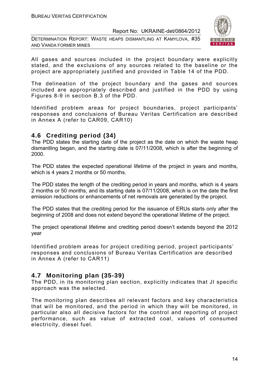DETERMINATION REPORT: WASTE HEAPS DISMANTLING AT KAMYLOVA, #35 AND VANDA FORMER MINES



All gases and sources included in the project boundary were explicitly stated, and the exclusions of any sources related to the baseline or the project are appropriately justified and provided in Table 14 of the PDD.

The delineation of the project boundary and the gases and sources included are appropriately described and justified in the PDD by using Figures 8-9 in section B.3 of the PDD.

Identified problem areas for project boundaries, project participants' responses and conclusions of Bureau Veritas Certification are described in Annex A (refer to CAR09, СAR10)

#### **4.6 Crediting period (34)**

The PDD states the starting date of the project as the date on which the waste heap dismantling began, and the starting date is 07/11/2008, which is after the beginning of 2000.

The PDD states the expected operational lifetime of the project in years and months, which is 4 years 2 months or 50 months.

The PDD states the length of the crediting period in years and months, which is 4 years 2 months or 50 months, and its starting date is 07/11/2008, which is on the date the first emission reductions or enhancements of net removals are generated by the project.

The PDD states that the crediting period for the issuance of ERUs starts only after the beginning of 2008 and does not extend beyond the operational lifetime of the project.

The project operational lifetime and crediting period doesn't extends beyond the 2012 year

Identified problem areas for project crediting period, project participants' responses and conclusions of Bureau Veritas Certification are described in Annex A (refer to CAR11)

#### **4.7 Monitoring plan (35-39)**

The PDD, in its monitoring plan section, explicitly indicates that JI specific approach was the selected.

The monitoring plan describes all relevant factors and key characteristics that will be monitored, and the period in which they will be monitored, in particular also all decisive factors for the control and reporting of project performance, such as value of extracted coal, values of consumed electricity, diesel fuel.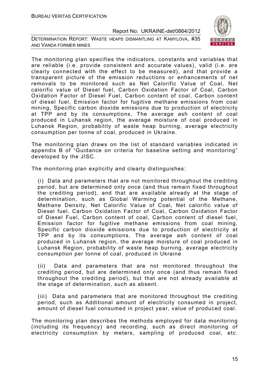DETERMINATION REPORT: WASTE HEAPS DISMANTLING AT KAMYLOVA, #35 AND VANDA FORMER MINES



The monitoring plan specifies the indicators, constants and variables that are reliable (i.e. provide consistent and accurate values), valid (i.e. are clearly connected with the effect to be measured), and that provide a transparent picture of the emission reductions or enhancements of net removals to be monitored such as Net Calorific Value of Coal, Net calorific value of Diesel fuel, Carbon Oxidation Factor of Coal, Carbon Oxidation Factor of Diesel Fuel, Carbon content of coal, Carbon content of diesel fuel, Emission factor for fugitive methane emissions from coal mining, Specific carbon dioxide emissions due to production of electricity at TPP and by its consumptions, The average ash content of coal produced in Luhansk region, the average moisture of coal produced in Luhansk Region, probability of waste heap burning, average electricity consumption per tonne of coal, produced in Ukraine.

The monitoring plan draws on the list of standard variables indicated in appendix B of "Guidance on criteria for baseline setting and monitoring" developed by the JISC.

The monitoring plan explicitly and clearly distinguishes:

(i) Data and parameters that are not monitored throughout the crediting period, but are determined only once (and thus remain fixed throughout the crediting period), and that are available already at the stage of determination, such as Global Warming potential of the Methane, Methane Density, Net Calorific Value of Coal, Net calorific value of Diesel fuel, Carbon Oxidation Factor of Coal, Carbon Oxidation Factor of Diesel Fuel, Carbon content of coal, Carbon content of diesel fuel, Emission factor for fugitive methane emissions from coal mining, Specific carbon dioxide emissions due to production of electricity at TPP and by its consumptions, The average ash content of coal produced in Luhansk region, the average moisture of coal produced in Luhansk Region, probability of waste heap burning, average electricity consumption per tonne of coal, produced in Ukraine

(ii) Data and parameters that are not monitored throughout the crediting period, but are determined only once (and thus remain fixed throughout the crediting period), but that are not already available at the stage of determination, such as absent.

(iii) Data and parameters that are monitored throughout the crediting period, such as Additional amount of electricity consumed in project, amount of diesel fuel consumed in project year, value of produced coal.

The monitoring plan describes the methods employed for data monitoring (including its frequency) and recording, such as direct monitoring of electricity consumption by meters, sampling of produced coal, etc.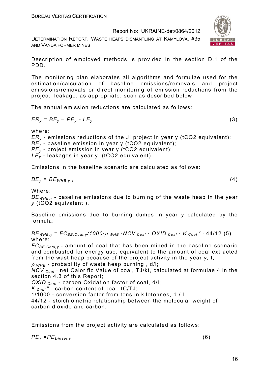DETERMINATION REPORT: WASTE HEAPS DISMANTLING AT KAMYLOVA, #35 AND VANDA FORMER MINES



Description of employed methods is provided in the section D.1 of the PDD.

The monitoring plan elaborates all algorithms and formulae used for the estimation/calculation of baseline emissions/removals and project emissions/removals or direct monitoring of emission reductions from the project, leakage, as appropriate, such as described below

The annual emission reductions are calculated as follows:

$$
ER_y = BE_y - PE_y - LE_y, \tag{3}
$$

where:

*ERy* - emissions reductions of the JI project in year y (tCO2 equivalent); *BE<sub>y</sub>* - baseline emission in year y (tCO2 equivalent);

*PEy* - project emission in year y (tCO2 equivalent);

*LEy* - leakages in year у, (tCO2 equivalent).

Emissions in the baseline scenario are calculated as follows:

$$
BE_y = BE_{WHB,y} \t\t(4)
$$

Where:

*BEWHB,y -* baseline emissions due to burning of the waste heap in the year *y* (tCO2 equivalent ),

Baseline emissions due to burning dumps in year y calculated by the formula:

 $BE_{WHB,V}$  =  $FC_{BE,Coal,V}$  /1000 ·  $\rho$  whb · NCV  $_{Coal}$  · OXID  $_{Coal}$  ·  $K_{Coal}$  <sup>c</sup> · 44/12 (5) where:

*FCBE,Coal,y* - amount of coal that has been mined in the baseline scenario and combusted for energy use, equivalent to the amount of coal extracted from the wast heap because of the project activity in the year *y,* t;

<sup>ρ</sup> *WHB* - probability of waste heap burning , d/l;

*NCV Coal* - net Calorific Value of coal, TJ/kt, calculated at formulae 4 in the section 4.3 of this Report;

*OXID Coal* - carbon Oxidation factor of coal, d/l;

 $K_{Coal}^c$  - carbon content of coal, tC/TJ;

1/1000 - conversion factor from tons in kilotonnes, d / l

44/12 - stoichiometric relationship between the molecular weight of carbon dioxide and carbon.

Emissions from the project activity are calculated as follows:

*PEy =PEDiesel,y* (6)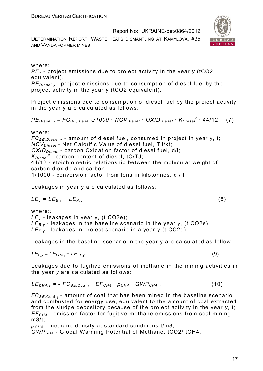DETERMINATION REPORT: WASTE HEAPS DISMANTLING AT KAMYLOVA, #35 AND VANDA FORMER MINES





#### where:

*PEy* - project emissions due to project activity in the year *y* (tCO2 equivalent),

*PE<sub>Diesel, y* - project emissions due to consumption of diesel fuel by the</sub> project activity in the year *y* (tCO2 equivalent).

Project emissions due to consumption of diesel fuel by the project activity in the year y are calculated as follows:

$$
PE_{\text{Diesel}, y} = FC_{BE, \text{Diesel}, y} / 1000 \cdot NCV_{\text{Diesel}} \cdot OXID_{\text{Diesel}} \cdot K_{\text{Diesel}}^c \cdot 44 / 12 \quad (7)
$$

where:

*FCBE,Diesel,y* - amount of diesel fuel, consumed in project in year y, t; *NCV<sub>Diesel</sub>* - Net Calorific Value of diesel fuel, TJ/kt; OXID<sub>Diesel</sub> - carbon Oxidation factor of diesel fuel, d/l; *KDiesel <sup>c</sup>*- carbon content of diesel, tC/TJ; 44/12 - stoichiometric relationship between the molecular weight of carbon dioxide and carbon. 1/1000 - conversion factor from tons in kilotonnes, d / l

Leakages in year y are calculated as follows:

$$
LE_y = LE_{B,y} + LE_{P,y}
$$
 (8)

where:: *LEy -* leakages in year у, (t СО2е); *LEB,y -* leakages in the baseline scenario in the year *y*, (t СО2е); *LEP,* y - leakages in project scenario in a year y,(t СО2е);

Leakages in the baseline scenario in the year y are calculated as follow

$$
LE_{B,y} = LE_{CH4,y} + LE_{EL,y}
$$
 (9)

Leakages due to fugitive emissions of methane in the mining activities in the year *y* are calculated as follows:

$$
LE_{CH4,y} = -FC_{BE,Coal,y} \cdot EF_{CH4} \cdot \rho_{CH4} \cdot GWP_{CH4} , \qquad (10)
$$

*FC<sub>BE*,Coal,y</sub> - amount of coal that has been mined in the baseline scenario and combusted for energy use, equivalent to the amount of coal extracted from the sludge depository because of the project activity in the year *y,* t; *EFCH4* - emission factor for fugitive methane emissions from coal mining, m3/t;

*ρCH4* - methane density at standard conditions t/m3; *GWPCH4* - Global Warming Potential of Methane, tСО2/ tСН4.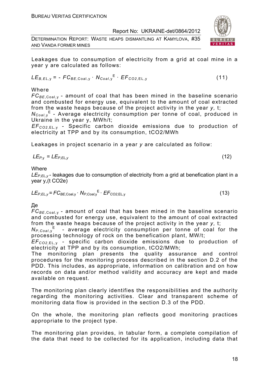DETERMINATION REPORT: WASTE HEAPS DISMANTLING AT KAMYLOVA, #35 AND VANDA FORMER MINES



Leakages due to consumption of electricity from a grid at coal mine in a year y are calculated as follows:

$$
LE_{B,EL,y} = -FC_{BE,Coal,y} \cdot N_{Coal,y}^{E} \cdot EF_{CO2,EL,y}
$$
 (11)

Where

 $FC_{BF\,Coal\,V}$  - amount of coal that has been mined in the baseline scenario and combusted for energy use, equivalent to the amount of coal extracted from the waste heaps because of the project activity in the year *y,* t;

*N<sub>Coal*,y</sub><sup>E</sup> - Average electricity consumption per tonne of coal, produced in Ukraine in the year y, MWh/t;

*EFCО2*,EL, <sup>у</sup> *-* Specific carbon dioxide emissions due to production of electricity at TPP and by its consumption, tСО2/MWh

Leakages in project scenario in a year *y* are calculated as follow:

$$
LE_{P,y} = LE_{P,EL,y} \tag{12}
$$

**Where** 

*LEP,EL,y* - leakages due to consumption of electricity from a grid at benefication plant in a year y,(t СО2е)

$$
LE_{P,EL,y} = FC_{BE,Coal,y} \cdot N_{P,Coal,y}^{E} \cdot EF_{CO2,EL,y}
$$
 (13)

Де

*FC<sub>BE.Coal.v</sub>* - amount of coal that has been mined in the baseline scenario and combusted for energy use, equivalent to the amount of coal extracted from the waste heaps because of the project activity in the year *y,* t;

*NP,Coal*,y E - average electricity consumption per tonne of coal for the processing technology of rock on the benefication plant, MW/t;

*EFCО2*,EL, <sup>у</sup> - specific carbon dioxide emissions due to production of electricity at TPP and by its consumption, tСО2/MWh;

The monitoring plan presents the quality assurance and control procedures for the monitoring process described in the section D.2 of the PDD. This includes, as appropriate, information on calibration and on how records on data and/or method validity and accuracy are kept and made available on request.

The monitoring plan clearly identifies the responsibilities and the authority regarding the monitoring activities. Clear and transparent scheme of monitoring data flow is provided in the section D.3 of the PDD.

On the whole, the monitoring plan reflects good monitoring practices appropriate to the project type.

The monitoring plan provides, in tabular form, a complete compilation of the data that need to be collected for its application, including data that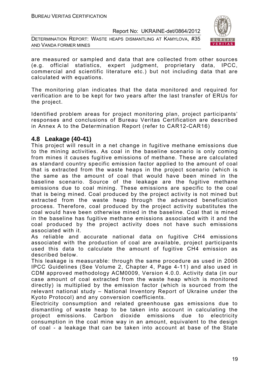DETERMINATION REPORT: WASTE HEAPS DISMANTLING AT KAMYLOVA, #35 AND VANDA FORMER MINES



are measured or sampled and data that are collected from other sources (e.g. official statistics, expert judgment, proprietary data, IPCC, commercial and scientific literature etc.) but not including data that are calculated with equations.

The monitoring plan indicates that the data monitored and required for verification are to be kept for two years after the last transfer of ERUs for the project.

Identified problem areas for project monitoring plan, project participants' responses and conclusions of Bureau Veritas Certification are described in Annex A to the Determination Report (refer to CAR12-CAR16)

#### **4.8 Leakage (40-41)**

This project will result in a net change in fugitive methane emissions due to the mining activities. As coal in the baseline scenario is only coming from mines it causes fugitive emissions of methane. These are calculated as standard country specific emission factor applied to the amount of coal that is extracted from the waste heaps in the project scenario (which is the same as the amount of coal that would have been mined in the baseline scenario. Source of the leakage are the fugitive methane emissions due to coal mining. These emissions are specific to the coal that is being mined. Coal produced by the project activity is not mined but extracted from the waste heap through the advanced beneficiation process. Therefore, coal produced by the project activity substitutes the coal would have been otherwise mined in the baseline. Coal that is mined in the baseline has fugitive methane emissions associated with it and the coal produced by the project activity does not have such emissions associated with it.

As reliable and accurate national data on fugitive CH4 emissions associated with the production of coal are available, project participants used this data to calculate the amount of fugitive CH4 emission as described below.

This leakage is measurable: through the same procedure as used in 2006 IPCC Guidelines (See Volume 2, Chapter 4, Page 4-11) and also used in CDM approved methodology ACM0009, Version 4.0.0. Activity data (in our case amount of coal extracted from the waste heap which is monitored directly) is multiplied by the emission factor (which is sourced from the relevant national study – National Inventory Report of Ukraine under the Kyoto Protocol) and any conversion coefficients.

Electricity consumption and related greenhouse gas emissions due to dismantling of waste heap to be taken into account in calculating the project emissions. Carbon dioxide emissions due to electricity consumption in the coal mine way in an amount, equivalent to the design of coal - a leakage that can be taken into account at base of the State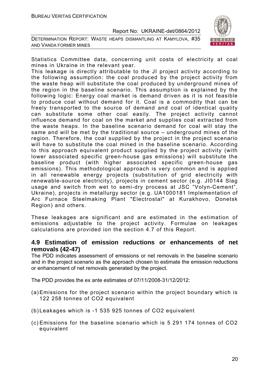DETERMINATION REPORT: WASTE HEAPS DISMANTLING AT KAMYLOVA, #35 AND VANDA FORMER MINES



Statistics Committee data, concerning unit costs of electricity at coal mines in Ukraine in the relevant year.

This leakage is directly attributable to the JI project activity according to the following assumption: the coal produced by the project activity from the waste heap will substitute the coal produced by underground mines of the region in the baseline scenario. This assumption is explained by the following logic: Energy coal market is demand driven as it is not feasible to produce coal without demand for it. Coal is a commodity that can be freely transported to the source of demand and coal of identical quality can substitute some other coal easily. The project activity cannot influence demand for coal on the market and supplies coal extracted from the waste heaps. In the baseline scenario demand for coal will stay the same and will be met by the traditional source – underground mines of the region. Therefore, the coal supplied by the project in the project scenario will have to substitute the coal mined in the baseline scenario. According to this approach equivalent product supplied by the project activity (with lower associated specific green-house gas emissions) will substitute the baseline product (with higher associated specific green-house gas emissions). This methodological approach is very common and is applied in all renewable energy projects (substitution of grid electricity with renewable-source electricity), projects in cement sector (e.g. JI0144 Slag usage and switch from wet to semi-dry process at JSC "Volyn-Cement", Ukraine), projects in metallurgy sector (e.g. UA1000181 Implementation of Arc Furnace Steelmaking Plant "Electrostal" at Kurakhovo, Donetsk Region) and others.

These leakages are significant and are estimated in the estimation of emissions adjustable to the project activity. Formulae on leakages calculations are provided ion the section 4.7 of this Report.

#### **4.9 Estimation of emission reductions or enhancements of net removals (42-47)**

The PDD indicates assessment of emissions or net removals in the baseline scenario and in the project scenario as the approach chosen to estimate the emission reductions or enhancement of net removals generated by the project.

The PDD provides the ex ante estimates of 07/11/2008-31/12/2012:

- (a) Emissions for the project scenario within the project boundary which is 122 258 tonnes of CO2 equivalent
- (b) Leakages which is -1 535 925 tonnes of CO2 equivalent
- (c) Emissions for the baseline scenario which is 5 291 174 tonnes of CO2 equivalent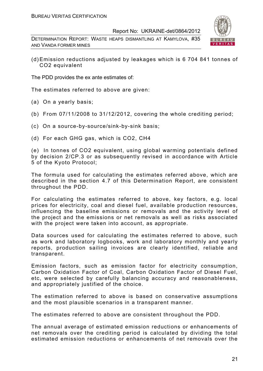DETERMINATION REPORT: WASTE HEAPS DISMANTLING AT KAMYLOVA, #35 AND VANDA FORMER MINES



(d) Emission reductions adjusted by leakages which is 6 704 841 tonnes of CO2 equivalent

The PDD provides the ex ante estimates of:

The estimates referred to above are given:

- (a) On a yearly basis;
- (b) From 07/11/2008 to 31/12/2012, covering the whole crediting period;
- (c) On a source-by-source/sink-by-sink basis;
- (d) For each GHG gas, which is CO2, СН4

(e) In tonnes of CO2 equivalent, using global warming potentials defined by decision 2/CP.3 or as subsequently revised in accordance with Article 5 of the Kyoto Protocol;

The formula used for calculating the estimates referred above, which are described in the section 4.7 of this Determination Report, are consistent throughout the PDD.

For calculating the estimates referred to above, key factors, e.g. local prices for electricity, coal and diesel fuel, available production resources, influencing the baseline emissions or removals and the activity level of the project and the emissions or net removals as well as risks associated with the project were taken into account, as appropriate.

Data sources used for calculating the estimates referred to above, such as work and laboratory logbooks, work and laboratory monthly and yearly reports, production sailing invoices are clearly identified, reliable and transparent.

Emission factors, such as emission factor for electricity consumption, Carbon Oxidation Factor of Coal, Carbon Oxidation Factor of Diesel Fuel, etc, were selected by carefully balancing accuracy and reasonableness, and appropriately justified of the choice.

The estimation referred to above is based on conservative assumptions and the most plausible scenarios in a transparent manner.

The estimates referred to above are consistent throughout the PDD.

The annual average of estimated emission reductions or enhancements of net removals over the crediting period is calculated by dividing the total estimated emission reductions or enhancements of net removals over the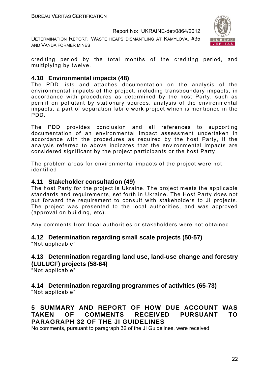DETERMINATION REPORT: WASTE HEAPS DISMANTLING AT KAMYLOVA, #35 AND VANDA FORMER MINES



crediting period by the total months of the crediting period, and multiplying by twelve.

#### **4.10 Environmental impacts (48)**

The PDD lists and attaches documentation on the analysis of the environmental impacts of the project, including transboundary impacts, in accordance with procedures as determined by the host Party, such as permit on pollutant by stationary sources, analysis of the environmental impacts, a part of separation fabric work project which is mentioned in the PDD.

The PDD provides conclusion and all references to supporting documentation of an environmental impact assessment undertaken in accordance with the procedures as required by the host Party, if the analysis referred to above indicates that the environmental impacts are considered significant by the project participants or the host Party.

The problem areas for environmental impacts of the project were not identified

#### **4.11 Stakeholder consultation (49)**

The host Party for the project is Ukraine. The project meets the applicable standards and requirements, set forth in Ukraine. The Host Party does not put forward the requirement to consult with stakeholders to JI projects. The project was presented to the local authorities, and was approved (approval on building, etc).

Any comments from local authorities or stakeholders were not obtained.

#### **4.12 Determination regarding small scale projects (50-57)**

"Not applicable"

#### **4.13 Determination regarding land use, land-use change and forestry (LULUCF) projects (58-64)**

"Not applicable"

### **4.14 Determination regarding programmes of activities (65-73)**

"Not applicable"

#### **5 SUMMARY AND REPORT OF HOW DUE ACCOUNT WAS TAKEN OF COMMENTS RECEIVED PURSUANT TO PARAGRAPH 32 OF THE JI GUIDELINES**

No comments, pursuant to paragraph 32 of the JI Guidelines, were received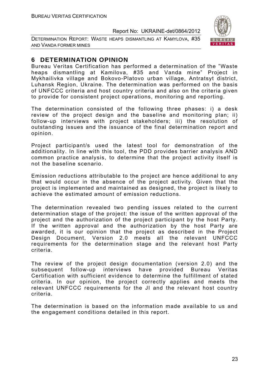DETERMINATION REPORT: WASTE HEAPS DISMANTLING AT KAMYLOVA, #35 AND VANDA FORMER MINES



#### **6 DETERMINATION OPINION**

Bureau Veritas Certification has performed a determination of the "Waste heaps dismantling at Kamilova, #35 and Vanda mine" Project in Mykhailivka village and Bokovo-Platovo urban village, Antratsyt district, Luhansk Region, Ukraine. The determination was performed on the basis of UNFCCC criteria and host country criteria and also on the criteria given to provide for consistent project operations, monitoring and reporting.

The determination consisted of the following three phases: i) a desk review of the project design and the baseline and monitoring plan; ii) follow-up interviews with project stakeholders; iii) the resolution of outstanding issues and the issuance of the final determination report and opinion.

Project participant/s used the latest tool for demonstration of the additionality. In line with this tool, the PDD provides barrier analysis AND common practice analysis, to determine that the project activity itself is not the baseline scenario.

Emission reductions attributable to the project are hence additional to any that would occur in the absence of the project activity. Given that the project is implemented and maintained as designed, the project is likely to achieve the estimated amount of emission reductions.

The determination revealed two pending issues related to the current determination stage of the project: the issue of the written approval of the project and the authorization of the project participant by the host Party. If the written approval and the authorization by the host Party are awarded, it is our opinion that the project as described in the Project Design Document, Version 2.0 meets all the relevant UNFCCC requirements for the determination stage and the relevant host Party criteria.

The review of the project design documentation (version 2.0) and the subsequent follow-up interviews have provided Bureau Veritas Certification with sufficient evidence to determine the fulfillment of stated criteria. In our opinion, the project correctly applies and meets the relevant UNFCCC requirements for the JI and the relevant host country criteria.

The determination is based on the information made available to us and the engagement conditions detailed in this report.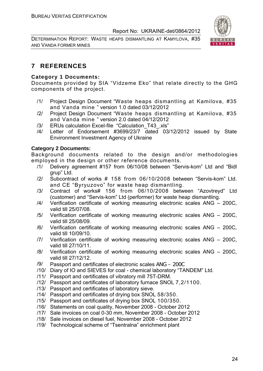DETERMINATION REPORT: WASTE HEAPS DISMANTLING AT KAMYLOVA, #35 AND VANDA FORMER MINES



#### **7 REFERENCES**

#### **Category 1 Documents:**

Documents provided by SIA "Vidzeme Eko" that relate directly to the GHG components of the project.

- /1/ Project Design Document "Waste heaps dismantling at Kamilova, #35 and Vanda mine " version 1.0 dated 03/12/2012
- /2/ Project Design Document "Waste heaps dismantling at Kamilova, #35 and Vanda mine " version 2.0 dated 04/12/2012
- /3/ ERUs calculation Excel-file "Calculation\_T43\_.xls"
- /4/ Letter of Endorsement #3699/23/7 dated 03/12/2012 issued by State Environment Investment Agency of Ukraine

#### **Category 2 Documents:**

Background documents related to the design and/or methodologies employed in the design or other reference documents.

- /1/ Delivery agreement #157 from 06/10/08 between "Servis-kom" Ltd and "Bidl grup" Ltd.
- /2/ Subcontract of works # 158 from 06/10/2008 between "Servis-kom" Ltd. and CE "Byryuzovo" for waste heap dismantling.
- /3/ Contract of works# 156 from 06/10/2008 between "Azovtreyd" Ltd (customer) and "Servis-kom" Ltd (performer) for waste heap dismantling.
- /4/ Verification certificate of working measuring electronic scales ANG 200C, valid till 25/07/08.
- /5/ Verification certificate of working measuring electronic scales ANG 200C, valid till 25/08/09.
- /6/ Verification certificate of working measuring electronic scales ANG 200C, valid till 10/09/10.
- /7/ Verification certificate of working measuring electronic scales ANG 200C, valid till 27/10/11.
- /8/ Verification certificate of working measuring electronic scales ANG 200C, valid till 27/12/12.
- /9/ Passport and certificates of electronic scales ANG 200C
- /10/ Diary of IO and SIEVES for coal chemical laboratory "TANDEM" Ltd.
- /11/ Passport and certificates of vibratory mill 75T-DRM.
- /12/ Passport and certificates of laboratory furnace SNOL 7,2/1100.
- /13/ Passport and certificates of laboratory sieve.
- /14/ Passport and certificates of drying box SNOL 58/350.
- /15/ Passport and certificates of drying box SNOL 100/350.
- /16/ Statements on coal quality, November 2008 October 2012
- /17/ Sale invoices on coal 0-30 mm, November 2008 October 2012
- /18/ Sale invoices on diesel fuel, November 2008 October 2012
- /19/ Technological scheme of "Tsentralna" enrichment plant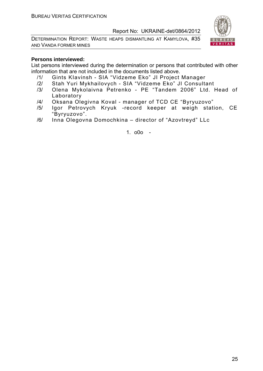DETERMINATION REPORT: WASTE HEAPS DISMANTLING AT KAMYLOVA, #35 AND VANDA FORMER MINES



#### **Persons interviewed:**

List persons interviewed during the determination or persons that contributed with other information that are not included in the documents listed above.

- /1/ Gints KIavinsh SIA "Vidzeme Eko" JI Project Manager
- /2/ Stah Yuri Mykhailovych SIA "Vidzeme Eko" JI Consultant
- /3/ Olena Mykolaivna Petrenko PE "Tandem 2006" Ltd. Head of Laboratory
- /4/ Oksana Olegіvna Koval manager of TCD CE "Byryuzovo"
- /5/ Igor Petrovych Kryuk -record keeper at weigh station, CE "Byryuzovo".
- /6/ Inna Olegovna Domochkina director of "Azovtreyd" LLc

1. o0o -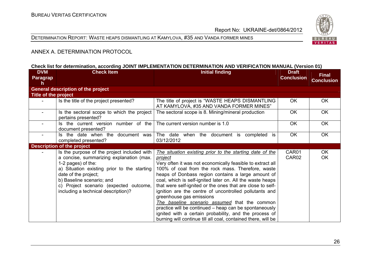#### DETERMINATION REPORT: WASTE HEAPS DISMANTLING AT KAMYLOVA, #35 AND VANDA FORMER MINES



#### ANNEX A. DETERMINATION PROTOCOL

#### **Check list for determination, according JOINT IMPLEMENTATION DETERMINATION AND VERIFICATION MANUAL (Version 01)**

| <b>DVM</b><br>Paragrap<br>h | <b>Check Item</b>                                                                                                                                                                                                                                                                                  | <b>Initial finding</b>                                                                                                                                                                                                                                                                                                                                                                                                                                                                                                                                                                                                                                                                                     | <b>Draft</b><br><b>Conclusion</b> | <b>Final</b><br><b>Conclusion</b> |
|-----------------------------|----------------------------------------------------------------------------------------------------------------------------------------------------------------------------------------------------------------------------------------------------------------------------------------------------|------------------------------------------------------------------------------------------------------------------------------------------------------------------------------------------------------------------------------------------------------------------------------------------------------------------------------------------------------------------------------------------------------------------------------------------------------------------------------------------------------------------------------------------------------------------------------------------------------------------------------------------------------------------------------------------------------------|-----------------------------------|-----------------------------------|
|                             | <b>General description of the project</b>                                                                                                                                                                                                                                                          |                                                                                                                                                                                                                                                                                                                                                                                                                                                                                                                                                                                                                                                                                                            |                                   |                                   |
| Title of the project        |                                                                                                                                                                                                                                                                                                    |                                                                                                                                                                                                                                                                                                                                                                                                                                                                                                                                                                                                                                                                                                            |                                   |                                   |
|                             | Is the title of the project presented?                                                                                                                                                                                                                                                             | The title of project is "WASTE HEAPS DISMANTLING<br>AT KAMYLOVA, #35 AND VANDA FORMER MINES"                                                                                                                                                                                                                                                                                                                                                                                                                                                                                                                                                                                                               | OK.                               | OK.                               |
|                             | Is the sectoral scope to which the project<br>pertains presented?                                                                                                                                                                                                                                  | The sectoral scope is 8. Mining/mineral production                                                                                                                                                                                                                                                                                                                                                                                                                                                                                                                                                                                                                                                         | <b>OK</b>                         | <b>OK</b>                         |
|                             | Is the current version number of the<br>document presented?                                                                                                                                                                                                                                        | The current version number is 1.0                                                                                                                                                                                                                                                                                                                                                                                                                                                                                                                                                                                                                                                                          | <b>OK</b>                         | <b>OK</b>                         |
|                             | Is the date when the<br>document was<br>completed presented?                                                                                                                                                                                                                                       | The date when the document is<br>completed is<br>03/12/2012                                                                                                                                                                                                                                                                                                                                                                                                                                                                                                                                                                                                                                                | <b>OK</b>                         | <b>OK</b>                         |
|                             | <b>Description of the project</b>                                                                                                                                                                                                                                                                  |                                                                                                                                                                                                                                                                                                                                                                                                                                                                                                                                                                                                                                                                                                            |                                   |                                   |
|                             | Is the purpose of the project included with<br>a concise, summarizing explanation (max.<br>1-2 pages) of the:<br>a) Situation existing prior to the starting<br>date of the project;<br>b) Baseline scenario; and<br>c) Project scenario (expected outcome,<br>including a technical description)? | The situation existing prior to the starting date of the<br><u>project</u><br>Very often it was not economically feasible to extract all<br>100% of coal from the rock mass. Therefore, waste<br>heaps of Donbass region contains a large amount of<br>coal, which is self-ignited later on. All the waste heaps<br>that were self-ignited or the ones that are close to self-<br>ignition are the centre of uncontrolled pollutants and<br>greenhouse gas emissions<br>The baseline scenario assumed that the common<br>practice will be continued – heap can be spontaneously<br>ignited with a certain probability, and the process of<br>burning will continue till all coal, contained there, will be | CAR01<br>CAR <sub>02</sub>        | OK.<br>OK                         |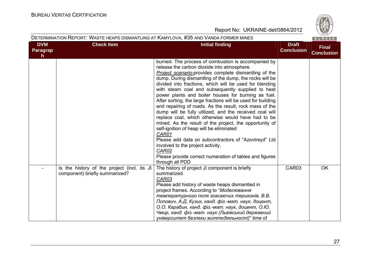| DETERMINATION REPORT: WASTE HEAPS DISMANTLING AT KAMYLOVA, #35 AND VANDA FORMER MINES<br>BUREAU |                                                                               |                                                                                                                                                                                                                                                                                                                                                                                                                                                                                                                                                                                                                                                                                                                                                                                                                                                                                                                                                      |                                   |                                   |
|-------------------------------------------------------------------------------------------------|-------------------------------------------------------------------------------|------------------------------------------------------------------------------------------------------------------------------------------------------------------------------------------------------------------------------------------------------------------------------------------------------------------------------------------------------------------------------------------------------------------------------------------------------------------------------------------------------------------------------------------------------------------------------------------------------------------------------------------------------------------------------------------------------------------------------------------------------------------------------------------------------------------------------------------------------------------------------------------------------------------------------------------------------|-----------------------------------|-----------------------------------|
| <b>DVM</b><br>Paragrap<br>h.                                                                    | <b>Check Item</b>                                                             | <b>Initial finding</b>                                                                                                                                                                                                                                                                                                                                                                                                                                                                                                                                                                                                                                                                                                                                                                                                                                                                                                                               | <b>Draft</b><br><b>Conclusion</b> | <b>Final</b><br><b>Conclusion</b> |
|                                                                                                 |                                                                               | burned. The process of combustion is accompanied by<br>release the carbon dioxide into atmosphere.<br><b>Project scenario-provides complete dismantling of the</b><br>dump. During dismantling of the dump, the rocks will be<br>divided into fractions, which will be used for blending<br>with steam coal and subsequently supplied to heat<br>power plants and boiler houses for burning as fuel.<br>After sorting, the large fractions will be used for building<br>and repairing of roads. As the result, rock mass of the<br>dump will be fully utilized, and the received coal will<br>replace coal, which otherwise would have had to be<br>mined. As the result of the project, the opportunity of<br>self-ignition of heap will be eliminated<br>CAR01<br>Please add data on subcontractors of "Azovtreyd" Ltd<br>involved to the project activity.<br>CAR02<br>Please provide correct numeration of tables and figures<br>through all PDD |                                   |                                   |
|                                                                                                 | Is the history of the project (incl. its JI<br>component) briefly summarized? | The history of project JI component is briefly<br>summarized<br>CAR03<br>Please add history of waste heaps dismantled in<br>project frames. According to "Моделювання<br>температурного поля згасаючих териконів, В.В.<br>Попович, А.Д. Кузик, канд. фіз.-мат. наук, доцент,<br>О.О. Карабин, канд. фіз.-мат. наук, доцент, О.Ю.<br>Чмир, канд. фіз.-мат. наук (Львівський державний<br>університет безпеки життєдіяльності)" time of                                                                                                                                                                                                                                                                                                                                                                                                                                                                                                                | CAR03                             | <b>OK</b>                         |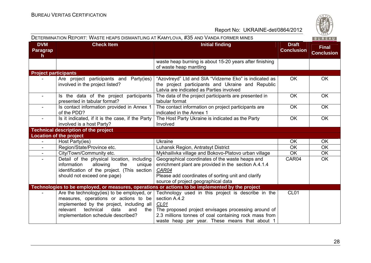| DETERMINATION REPORT: WASTE HEAPS DISMANTLING AT KAMYLOVA, #35 AND VANDA FORMER MINES |                                                                                                                                                                                                                               |                                                                                                                                                                                                                                              | マロムシ<br>BUREAU                    |                                   |
|---------------------------------------------------------------------------------------|-------------------------------------------------------------------------------------------------------------------------------------------------------------------------------------------------------------------------------|----------------------------------------------------------------------------------------------------------------------------------------------------------------------------------------------------------------------------------------------|-----------------------------------|-----------------------------------|
| <b>DVM</b><br>Paragrap<br>h                                                           | <b>Check Item</b>                                                                                                                                                                                                             | <b>Initial finding</b>                                                                                                                                                                                                                       | <b>Draft</b><br><b>Conclusion</b> | <b>Final</b><br><b>Conclusion</b> |
|                                                                                       |                                                                                                                                                                                                                               | waste heap burning is about 15-20 years after finishing<br>of waste heap mantling                                                                                                                                                            |                                   |                                   |
| <b>Project participants</b>                                                           |                                                                                                                                                                                                                               |                                                                                                                                                                                                                                              |                                   |                                   |
|                                                                                       | Are project participants and Party(ies)<br>involved in the project listed?                                                                                                                                                    | "Azovtreyd" Ltd and SIA "Vidzeme Eko" is indicated as<br>the project participants and Ukraine and Republic<br>Latvia are indicated as Parties involved                                                                                       | <b>OK</b>                         | <b>OK</b>                         |
| $\blacksquare$                                                                        | Is the data of the project participants<br>presented in tabular format?                                                                                                                                                       | The data of the project participants are presented in<br>tabular format                                                                                                                                                                      | OK                                | <b>OK</b>                         |
|                                                                                       | Is contact information provided in Annex 1<br>of the PDD?                                                                                                                                                                     | The contact information on project participants are<br>indicated in the Annex 1                                                                                                                                                              | OK                                | OK                                |
| $\overline{\phantom{a}}$                                                              | Is it indicated, if it is the case, if the Party<br>involved is a host Party?                                                                                                                                                 | The Host Party Ukraine is indicated as the Party<br>Involved                                                                                                                                                                                 | <b>OK</b>                         | <b>OK</b>                         |
|                                                                                       | <b>Technical description of the project</b>                                                                                                                                                                                   |                                                                                                                                                                                                                                              |                                   |                                   |
|                                                                                       | <b>Location of the project</b>                                                                                                                                                                                                |                                                                                                                                                                                                                                              |                                   |                                   |
|                                                                                       | Host Party(ies)                                                                                                                                                                                                               | <b>Ukraine</b>                                                                                                                                                                                                                               | OK                                | OK                                |
| $\sim$                                                                                | Region/State/Province etc.                                                                                                                                                                                                    | Luhansk Region, Antratsyt District                                                                                                                                                                                                           | <b>OK</b>                         | <b>OK</b>                         |
|                                                                                       | City/Town/Community etc.                                                                                                                                                                                                      | Mykhailivka village and Bokovo-Platovo urban village                                                                                                                                                                                         | <b>OK</b>                         | <b>OK</b>                         |
|                                                                                       | Detail of the physical location, including<br>information<br>allowing<br>the<br>unique<br>identification of the project. (This section  <br>should not exceed one page)                                                       | Geographical coordinates of the waste heaps and<br>enrichment plant are provided in the section A.4.1.4<br>CAR04<br>Please add coordinates of sorting unit and clarify<br>source of project geographical data                                | CAR04                             | <b>OK</b>                         |
|                                                                                       |                                                                                                                                                                                                                               | Technologies to be employed, or measures, operations or actions to be implemented by the project                                                                                                                                             |                                   |                                   |
|                                                                                       | Are the technology(ies) to be employed, or<br>measures, operations or actions to be<br>implemented by the project, including all<br>relevant<br>technical<br>data<br>and<br>the $\vert$<br>implementation schedule described? | Technology used in this project is describe in the<br>section A.4.2<br>CL01<br>The proposed project envisages processing around of<br>2.3 millions tonnes of coal containing rock mass from<br>waste heap per year. These means that about 1 | CL <sub>01</sub>                  |                                   |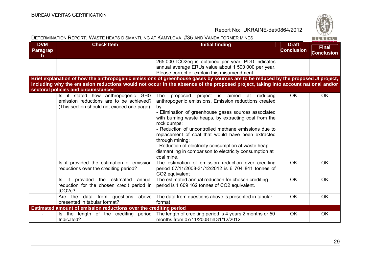

| DETERMINATION REPORT: WASTE HEAPS DISMANTLING AT KAMYLOVA, #35 AND VANDA FORMER MINES |                                                                                                                            |                                                                                                                                                                                                                                                                                                                                                                                                                                                                                                                                  | 020/<br>BUREAU                    |                                   |
|---------------------------------------------------------------------------------------|----------------------------------------------------------------------------------------------------------------------------|----------------------------------------------------------------------------------------------------------------------------------------------------------------------------------------------------------------------------------------------------------------------------------------------------------------------------------------------------------------------------------------------------------------------------------------------------------------------------------------------------------------------------------|-----------------------------------|-----------------------------------|
| <b>DVM</b><br><b>Paragrap</b><br>$\mathsf{h}$                                         | <b>Check Item</b>                                                                                                          | <b>Initial finding</b>                                                                                                                                                                                                                                                                                                                                                                                                                                                                                                           | <b>Draft</b><br><b>Conclusion</b> | <b>Final</b><br><b>Conclusion</b> |
|                                                                                       |                                                                                                                            | 265 000 tCO2eq is obtained per year. PDD indicates<br>annual average ERUs value about 1 500 000 per year.<br>Please correct or explain this misamendment.                                                                                                                                                                                                                                                                                                                                                                        |                                   |                                   |
|                                                                                       | sectoral policies and circumstances                                                                                        | Brief explanation of how the anthropogenic emissions of greenhouse gases by sources are to be reduced by the proposed JI project,<br>including why the emission reductions would not occur in the absence of the proposed project, taking into account national and/or                                                                                                                                                                                                                                                           |                                   |                                   |
|                                                                                       | Is it stated how anthropogenic GHG<br>emission reductions are to be achieved?<br>(This section should not exceed one page) | <b>The</b><br>proposed<br>project<br>is aimed<br>at<br>reducing<br>anthropogenic emissions. Emission reductions created<br>by:<br>- Elimination of greenhouse gases sources associated<br>with burning waste heaps, by extracting coal from the<br>rock dumps;<br>- Reduction of uncontrolled methane emissions due to<br>replacement of coal that would have been extracted<br>through mining;<br>- Reduction of electricity consumption at waste heap<br>dismantling in comparison to electricity consumption at<br>coal mine. | <b>OK</b>                         | <b>OK</b>                         |
|                                                                                       | Is it provided the estimation of emission<br>reductions over the crediting period?                                         | The estimation of emission reduction over crediting<br>period 07/11/2008-31/12/2012 is 6 704 841 tonnes of<br>CO2 equivalent                                                                                                                                                                                                                                                                                                                                                                                                     | <b>OK</b>                         | <b>OK</b>                         |
|                                                                                       | Is it provided the estimated annual<br>reduction for the chosen credit period in<br>tCO <sub>2</sub> e?                    | The estimated annual reduction for chosen crediting<br>period is 1 609 162 tonnes of CO2 equivalent.                                                                                                                                                                                                                                                                                                                                                                                                                             | <b>OK</b>                         | <b>OK</b>                         |
| $\blacksquare$                                                                        | data from questions above<br>Are the<br>presented in tabular format?                                                       | The data from questions above is presented in tabular<br>format                                                                                                                                                                                                                                                                                                                                                                                                                                                                  | <b>OK</b>                         | <b>OK</b>                         |
|                                                                                       | Estimated amount of emission reductions over the crediting period                                                          |                                                                                                                                                                                                                                                                                                                                                                                                                                                                                                                                  |                                   |                                   |
|                                                                                       | Is the length of the crediting period<br>Indicated?                                                                        | The length of crediting period is 4 years 2 months or 50<br>months from 07/11/2008 till 31/12/2012                                                                                                                                                                                                                                                                                                                                                                                                                               | <b>OK</b>                         | OK                                |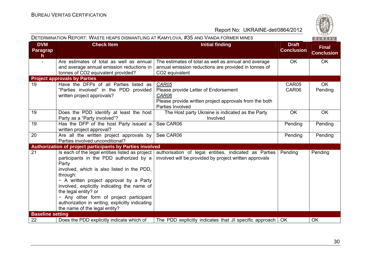

|                                    |                                                                                                                                                                                                                                                                                                                                                                                                                | DETERMINATION REPORT: WASTE HEAPS DISMANTLING AT KAMYLOVA, #35 AND VANDA FORMER MINES                                                |                                   | 1820/<br>BUREAU                   |
|------------------------------------|----------------------------------------------------------------------------------------------------------------------------------------------------------------------------------------------------------------------------------------------------------------------------------------------------------------------------------------------------------------------------------------------------------------|--------------------------------------------------------------------------------------------------------------------------------------|-----------------------------------|-----------------------------------|
| <b>DVM</b><br><b>Paragrap</b><br>h | <b>Check Item</b>                                                                                                                                                                                                                                                                                                                                                                                              | <b>Initial finding</b>                                                                                                               | <b>Draft</b><br><b>Conclusion</b> | <b>Final</b><br><b>Conclusion</b> |
|                                    | Are estimates of total as well as annual<br>and average annual emission reductions in<br>tonnes of CO2 equivalent provided?                                                                                                                                                                                                                                                                                    | The estimates of total as well as annual and average<br>annual emission reductions are provided in tonnes of<br>CO2 equivalent       | <b>OK</b>                         | OK                                |
|                                    | <b>Project approvals by Parties</b>                                                                                                                                                                                                                                                                                                                                                                            |                                                                                                                                      |                                   |                                   |
| 19                                 | Have the DFPs of all Parties listed as<br>"Parties involved" in the PDD provided<br>written project approvals?                                                                                                                                                                                                                                                                                                 | CAR05<br>Please provide Letter of Endorsement<br>CAR06<br>Please provide written project approvals from the both<br>Parties Involved | CAR05<br>CAR06                    | OK<br>Pending                     |
| 19                                 | Does the PDD identify at least the host<br>Party as a "Party involved"?                                                                                                                                                                                                                                                                                                                                        | The Host party Ukraine is indicated as the Party<br>Involved                                                                         | OK                                | OK                                |
| 19                                 | Has the DFP of the host Party issued a<br>written project approval?                                                                                                                                                                                                                                                                                                                                            | See CAR06                                                                                                                            | Pending                           | Pending                           |
| 20                                 | Are all the written project approvals by<br>Parties involved unconditional?                                                                                                                                                                                                                                                                                                                                    | See CAR06                                                                                                                            | Pending                           | Pending                           |
|                                    | Authorization of project participants by Parties involved                                                                                                                                                                                                                                                                                                                                                      |                                                                                                                                      |                                   |                                   |
| $\overline{21}$                    | Is each of the legal entities listed as project<br>participants in the PDD authorized by a<br>Party<br>involved, which is also listed in the PDD,<br>through:<br>- A written project approval by a Party<br>involved, explicitly indicating the name of<br>the legal entity? or<br>- Any other form of project participant<br>authorization in writing, explicitly indicating<br>the name of the legal entity? | authorisation of legal entities, indicated as Parties<br>involved will be provided by project written approvals                      | Pending                           | Pending                           |
| <b>Baseline setting</b>            |                                                                                                                                                                                                                                                                                                                                                                                                                |                                                                                                                                      |                                   |                                   |
| 22                                 | Does the PDD explicitly indicate which of                                                                                                                                                                                                                                                                                                                                                                      | The PDD explicitly indicates that JI specific approach   OK                                                                          |                                   | OK                                |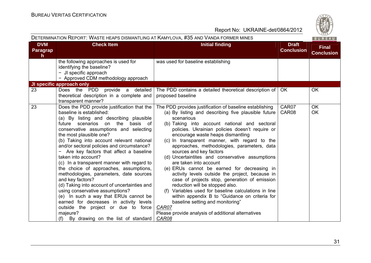|                              | DETERMINATION REPORT: WASTE HEAPS DISMANTLING AT KAMYLOVA, #35 AND VANDA FORMER MINES                                                                                                                                                                                                                                                                                                                                                                                                                                                                                                                                                                                                                                                                                                         |                                                                                                                                                                                                                                                                                                                                                                                                                                                                                                                                                                                                                  | BUREAU                            |                                   |
|------------------------------|-----------------------------------------------------------------------------------------------------------------------------------------------------------------------------------------------------------------------------------------------------------------------------------------------------------------------------------------------------------------------------------------------------------------------------------------------------------------------------------------------------------------------------------------------------------------------------------------------------------------------------------------------------------------------------------------------------------------------------------------------------------------------------------------------|------------------------------------------------------------------------------------------------------------------------------------------------------------------------------------------------------------------------------------------------------------------------------------------------------------------------------------------------------------------------------------------------------------------------------------------------------------------------------------------------------------------------------------------------------------------------------------------------------------------|-----------------------------------|-----------------------------------|
| <b>DVM</b><br>Paragrap<br>h. | <b>Check Item</b>                                                                                                                                                                                                                                                                                                                                                                                                                                                                                                                                                                                                                                                                                                                                                                             | <b>Initial finding</b>                                                                                                                                                                                                                                                                                                                                                                                                                                                                                                                                                                                           | <b>Draft</b><br><b>Conclusion</b> | <b>Final</b><br><b>Conclusion</b> |
|                              | the following approaches is used for<br>identifying the baseline?<br>- JI specific approach<br>- Approved CDM methodology approach                                                                                                                                                                                                                                                                                                                                                                                                                                                                                                                                                                                                                                                            | was used for baseline establishing                                                                                                                                                                                                                                                                                                                                                                                                                                                                                                                                                                               |                                   |                                   |
|                              | <b>JI specific approach only</b><br>PDD provide a detailed<br><b>OK</b><br>Does the<br>The PDD contains a detailed theoretical description of<br>OK.<br>theoretical description in a complete and<br>proposed baseline<br>transparent manner?<br>Does the PDD provide justification that the<br>CAR07<br><b>OK</b><br>The PDD provides justification of baseline establishing<br>baseline is established:<br>OK<br>(a) By listing and describing five plausible future<br>CAR08<br>(a) By listing and describing plausible<br>scenarious<br>(b) Taking into account national and sectoral<br>future scenarios on the<br>basis of<br>policies. Ukrainian policies doesn't require or<br>conservative assumptions and selecting<br>encourage waste heaps dismantling<br>the most plausible one? |                                                                                                                                                                                                                                                                                                                                                                                                                                                                                                                                                                                                                  |                                   |                                   |
| 23                           |                                                                                                                                                                                                                                                                                                                                                                                                                                                                                                                                                                                                                                                                                                                                                                                               |                                                                                                                                                                                                                                                                                                                                                                                                                                                                                                                                                                                                                  |                                   |                                   |
| 23                           | (b) Taking into account relevant national<br>and/or sectoral policies and circumstance?<br>- Are key factors that affect a baseline<br>taken into account?<br>(c) In a transparent manner with regard to<br>the choice of approaches, assumptions,<br>methodologies, parameters, date sources<br>and key factors?<br>(d) Taking into account of uncertainties and<br>using conservative assumptions?<br>(e) In such a way that ERUs cannot be<br>earned for decreases in activity levels<br>outside the project or due to force<br>majeure?<br>(f) By drawing on the list of standard                                                                                                                                                                                                         | (c) In transparent manner, with regard to the<br>approaches, methodologies, parameters, data<br>sources and key factors<br>(d) Uncertaintites and conservative assumptions<br>are taken into account<br>(e) ERUs cannot be earned for decreasing in<br>activity levels outside the project, because in<br>case of projects stop, generation of emission<br>reduction will be stopped also.<br>(f) Variables used for baseline calculations in line<br>within appendix B to "Guidance on criteria for<br>baseline setting and monitoring"<br>CAR07<br>Please provide analysis of additional alternatives<br>CAR08 |                                   |                                   |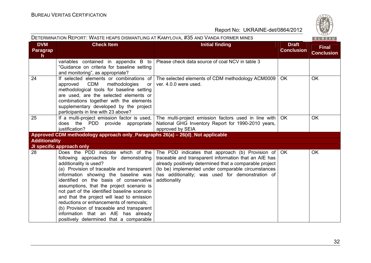|                             | DETERMINATION REPORT: WASTE HEAPS DISMANTLING AT KAMYLOVA, #35 AND VANDA FORMER MINES                                                                                                                                                                                                                                                                                                                                                                                                                                                                         |                                                                                                                                                                                                                                                                                                                |                                   | $\sim$ 02 $\sim$<br>BUREAU        |
|-----------------------------|---------------------------------------------------------------------------------------------------------------------------------------------------------------------------------------------------------------------------------------------------------------------------------------------------------------------------------------------------------------------------------------------------------------------------------------------------------------------------------------------------------------------------------------------------------------|----------------------------------------------------------------------------------------------------------------------------------------------------------------------------------------------------------------------------------------------------------------------------------------------------------------|-----------------------------------|-----------------------------------|
| <b>DVM</b><br>Paragrap<br>h | <b>Check Item</b>                                                                                                                                                                                                                                                                                                                                                                                                                                                                                                                                             | <b>Initial finding</b>                                                                                                                                                                                                                                                                                         | <b>Draft</b><br><b>Conclusion</b> | <b>Final</b><br><b>Conclusion</b> |
|                             | variables contained in appendix B to<br>"Guidance on criteria for baseline setting<br>and monitoring", as appropriate?                                                                                                                                                                                                                                                                                                                                                                                                                                        | Please check data source of coal NCV in table 3                                                                                                                                                                                                                                                                |                                   |                                   |
| 24                          | If selected elements or combinations of<br>approved CDM<br>methodologies<br>or<br>methodological tools for baseline setting<br>are used, are the selected elements or<br>combinations together with the elements<br>supplementary developed by the project<br>participants in line with 23 above?                                                                                                                                                                                                                                                             | The selected elements of CDM methodology ACM0009<br>ver. 4.0.0 were used.                                                                                                                                                                                                                                      | <b>OK</b>                         | <b>OK</b>                         |
| 25                          | If a multi-project emission factor is used,<br>does the PDD provide appropriate<br>justification?                                                                                                                                                                                                                                                                                                                                                                                                                                                             | The multi-project emission factors used in line with<br>National GHG Inventory Report for 1990-2010 years,<br>approved by SEIA                                                                                                                                                                                 | OK.                               | <b>OK</b>                         |
|                             | Approved CDM methodology approach only_Paragraphs 26(a) - 26(d)_Not applicable                                                                                                                                                                                                                                                                                                                                                                                                                                                                                |                                                                                                                                                                                                                                                                                                                |                                   |                                   |
| <b>Additionality</b>        |                                                                                                                                                                                                                                                                                                                                                                                                                                                                                                                                                               |                                                                                                                                                                                                                                                                                                                |                                   |                                   |
|                             | JI specific approach only                                                                                                                                                                                                                                                                                                                                                                                                                                                                                                                                     |                                                                                                                                                                                                                                                                                                                |                                   |                                   |
| 28                          | Does the PDD indicate which of the<br>following approaches for demonstrating<br>additionality is used?<br>(a) Provision of traceable and transparent<br>information showing the baseline was<br>identified on the basis of conservative<br>assumptions, that the project scenario is<br>not part of the identified baseline scenario<br>and that the project will lead to emission<br>reductions or enhancements of removals;<br>(b) Provision of traceable and transparent<br>information that an AIE has already<br>positively determined that a comparable | The PDD indicates that approach (b) Provision of $\overline{OK}$<br>traceable and transparent information that an AIE has<br>already positively determined that a comparable project<br>(to be) implemented under comparable circumstances<br>has additionality; was used for demonstration of<br>addtionality |                                   | <b>OK</b>                         |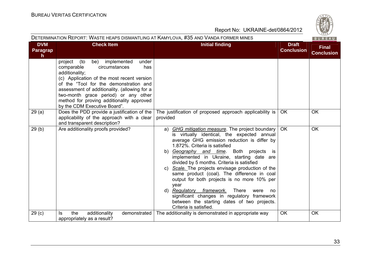| DETERMINATION REPORT. WASTE HEAPS DISMANTLING AT NAMYLOVA, #30 AND VANDA FORMER MINES |                                                                                                                                                                                                                                                                                                                                                              |                                                                                                                                                                                                                                                                                                                                                                                                                                                                                                                                                                                                                                                                       |                                   | B U R E A U                       |
|---------------------------------------------------------------------------------------|--------------------------------------------------------------------------------------------------------------------------------------------------------------------------------------------------------------------------------------------------------------------------------------------------------------------------------------------------------------|-----------------------------------------------------------------------------------------------------------------------------------------------------------------------------------------------------------------------------------------------------------------------------------------------------------------------------------------------------------------------------------------------------------------------------------------------------------------------------------------------------------------------------------------------------------------------------------------------------------------------------------------------------------------------|-----------------------------------|-----------------------------------|
| <b>DVM</b><br>Paragrap<br>$\mathsf{h}$                                                | <b>Check Item</b>                                                                                                                                                                                                                                                                                                                                            | <b>Initial finding</b>                                                                                                                                                                                                                                                                                                                                                                                                                                                                                                                                                                                                                                                | <b>Draft</b><br><b>Conclusion</b> | <b>Final</b><br><b>Conclusion</b> |
|                                                                                       | project (to<br>be) implemented<br>under<br>circumstances<br>comparable<br>has<br>additionality;<br>(c) Application of the most recent version<br>of the "Tool for the demonstration and<br>assessment of additionality. (allowing for a<br>two-month grace period) or any other<br>method for proving additionality approved<br>by the CDM Executive Board". |                                                                                                                                                                                                                                                                                                                                                                                                                                                                                                                                                                                                                                                                       |                                   |                                   |
| 29(a)                                                                                 | Does the PDD provide a justification of the<br>applicability of the approach with a clear<br>and transparent description?                                                                                                                                                                                                                                    | The justification of proposed approach applicability is<br>provided                                                                                                                                                                                                                                                                                                                                                                                                                                                                                                                                                                                                   | <b>OK</b>                         | <b>OK</b>                         |
| 29(b)                                                                                 | Are additionality proofs provided?                                                                                                                                                                                                                                                                                                                           | a) GHG mitigation measure. The project boundary<br>is virtually identical, the expected annual<br>average GHG emission reduction is differ by<br>1.872%. Criteria is satisfied<br>b) Geography and time. Both projects<br>is.<br>implemented in Ukraine, starting date are<br>divided by 5 months. Criteria is satisfied<br>c) Scale. The projects envisage production of the<br>same product (coal). The difference in coal<br>output for both projects is no more 10% per<br>year<br>d) Regulatory framework.<br><b>There</b><br>were<br>no<br>significant changes in regulatory framework<br>between the starting dates of two projects.<br>Criteria is satisfied. | <b>OK</b>                         | <b>OK</b>                         |
| 29 <sub>(c)</sub>                                                                     | the<br>demonstrated<br>additionality<br>ls<br>appropriately as a result?                                                                                                                                                                                                                                                                                     | The additionality is demonstrated in appropriate way                                                                                                                                                                                                                                                                                                                                                                                                                                                                                                                                                                                                                  | OK                                | OK                                |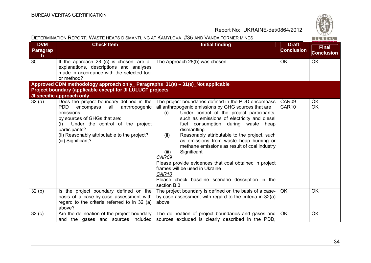| DETERMINATION REPORT: WASTE HEAPS DISMANTLING AT KAMYLOVA, #35 AND VANDA FORMER MINES |                                                                                                                                                                                                                                                                                                   |                                                                                                                                                                                                                                                                                                                                                                                                                                                                                                                                                                                                                                     |                                   | 1820/<br>BUREAU                   |
|---------------------------------------------------------------------------------------|---------------------------------------------------------------------------------------------------------------------------------------------------------------------------------------------------------------------------------------------------------------------------------------------------|-------------------------------------------------------------------------------------------------------------------------------------------------------------------------------------------------------------------------------------------------------------------------------------------------------------------------------------------------------------------------------------------------------------------------------------------------------------------------------------------------------------------------------------------------------------------------------------------------------------------------------------|-----------------------------------|-----------------------------------|
| <b>DVM</b><br><b>Paragrap</b><br>h.                                                   | <b>Check Item</b>                                                                                                                                                                                                                                                                                 | <b>Initial finding</b>                                                                                                                                                                                                                                                                                                                                                                                                                                                                                                                                                                                                              | <b>Draft</b><br><b>Conclusion</b> | <b>Final</b><br><b>Conclusion</b> |
| 30                                                                                    | If the approach 28 (c) is chosen, are all<br>explanations, descriptions and analyses<br>made in accordance with the selected tool<br>or method?                                                                                                                                                   | The Approach 28(b) was chosen                                                                                                                                                                                                                                                                                                                                                                                                                                                                                                                                                                                                       | <b>OK</b>                         | <b>OK</b>                         |
|                                                                                       | Approved CDM methodology approach only_ Paragraphs 31(a) – 31(e)_Not applicable                                                                                                                                                                                                                   |                                                                                                                                                                                                                                                                                                                                                                                                                                                                                                                                                                                                                                     |                                   |                                   |
|                                                                                       | Project boundary (applicable except for JI LULUCF projects                                                                                                                                                                                                                                        |                                                                                                                                                                                                                                                                                                                                                                                                                                                                                                                                                                                                                                     |                                   |                                   |
| 32(a)                                                                                 | JI specific approach only<br>Does the project boundary defined in the<br>all<br>anthropogenic<br>PDD.<br>encompass<br>emissions<br>by sources of GHGs that are:<br>Under the control of the project<br>(i)<br>participants?<br>(ii) Reasonably attributable to the project?<br>(iii) Significant? | The project boundaries defined in the PDD encompass<br>all anthropogenic emissions by GHG sources that are<br>Under control of the project participants,<br>(i)<br>such as emissions of electricity and diesel<br>fuel consumption during waste<br>heap<br>dismantling<br>Reasonably attributable to the project, such<br>(ii)<br>as emissions from waste heap burning or<br>methane emissions as result of coal industry<br>Significant<br>(iii)<br>CAR09<br>Please provide evidences that coal obtained in project<br>frames will be used in Ukraine<br>CAR10<br>Please check baseline scenario description in the<br>section B.3 | CAR09<br>CAR <sub>10</sub>        | <b>OK</b><br>OK                   |
| 32(b)                                                                                 | Is the project boundary defined on the<br>basis of a case-by-case assessment with<br>regard to the criteria referred to in 32 (a)<br>above?                                                                                                                                                       | The project boundary is defined on the basis of a case-<br>by-case assessment with regard to the criteria in 32(a)<br>above                                                                                                                                                                                                                                                                                                                                                                                                                                                                                                         | <b>OK</b>                         | <b>OK</b>                         |
| 32(c)                                                                                 | and the gases and sources included                                                                                                                                                                                                                                                                | Are the delineation of the project boundary   The delineation of project boundaries and gases and<br>sources excluded is clearly described in the PDD,                                                                                                                                                                                                                                                                                                                                                                                                                                                                              | <b>OK</b>                         | OK                                |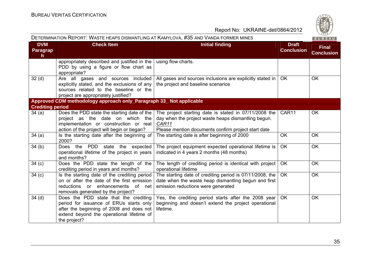| DETERMINATION KEPORT. VVASTE HEAPS DISMANTEING AT KAMTEOVA, #JJ AND VANDA FORMER MINES |                                                                                                                                                                                           |                                                                                                                                                                              |                                   | <b>BUREAU</b>                     |
|----------------------------------------------------------------------------------------|-------------------------------------------------------------------------------------------------------------------------------------------------------------------------------------------|------------------------------------------------------------------------------------------------------------------------------------------------------------------------------|-----------------------------------|-----------------------------------|
| <b>DVM</b><br><b>Paragrap</b><br>h.                                                    | <b>Check Item</b>                                                                                                                                                                         | <b>Initial finding</b>                                                                                                                                                       | <b>Draft</b><br><b>Conclusion</b> | <b>Final</b><br><b>Conclusion</b> |
|                                                                                        | appropriately described and justified in the<br>PDD by using a figure or flow chart as<br>appropriate?                                                                                    | using flow charts.                                                                                                                                                           |                                   |                                   |
| 32 <sub>(d)</sub>                                                                      | Are all gases and sources included<br>explicitly stated, and the exclusions of any<br>sources related to the baseline or the<br>project are appropriately justified?                      | All gases and sources inclusions are explicitly stated in<br>the project and baseline scenarios                                                                              | OK                                | <b>OK</b>                         |
|                                                                                        | Approved CDM methodology approach only_Paragraph 33_ Not applicable                                                                                                                       |                                                                                                                                                                              |                                   |                                   |
| <b>Crediting period</b>                                                                |                                                                                                                                                                                           |                                                                                                                                                                              |                                   |                                   |
| 34(a)                                                                                  | Does the PDD state the starting date of the<br>project as the date on which the<br>implementation or construction or real<br>action of the project will begin or began?                   | The project starting date is stated in 07/11/2008 the<br>day when the project waste heaps dismantling begun.<br>CAR11<br>Please mention documents confirm project start date | CAR11                             | OK                                |
| 34(a)                                                                                  | Is the starting date after the beginning of<br>2000?                                                                                                                                      | The starting date is after beginning of 2000                                                                                                                                 | <b>OK</b>                         | <b>OK</b>                         |
| 34(b)                                                                                  | Does the PDD state the expected<br>operational lifetime of the project in years<br>and months?                                                                                            | The project equipment expected operational lifetime is<br>indicated in 4 years 2 months (48 months)                                                                          | <b>OK</b>                         | <b>OK</b>                         |
| 34 <sub>(c)</sub>                                                                      | Does the PDD state the length of the<br>crediting period in years and months?                                                                                                             | The length of crediting period is identical with project<br>operational lifetime                                                                                             | <b>OK</b>                         | <b>OK</b>                         |
| 34 <sub>(c)</sub>                                                                      | Is the starting date of the crediting period<br>on or after the date of the first emission<br>reductions or enhancements of net<br>removals generated by the project?                     | The starting date of crediting period is 07/11/2008, the<br>date when the waste heap dismantling begun and first<br>emission reductions were generated                       | <b>OK</b>                         | <b>OK</b>                         |
| 34 <sub>(d)</sub>                                                                      | Does the PDD state that the crediting<br>period for issuance of ERUs starts only<br>after the beginning of 2008 and does not<br>extend beyond the operational lifetime of<br>the project? | Yes, the crediting period starts after the 2008 year<br>beginning and doesn't extend the project operational<br>lifetime.                                                    | OK                                | <b>OK</b>                         |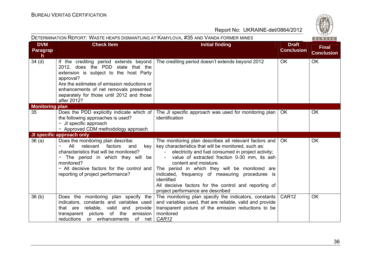| DETERMINATION REPORT: WASTE HEAPS DISMANTLING AT KAMYLOVA, #35 AND VANDA FORMER MINES |                                                                                                                                                                                                                                                                                            |                                                                                                                                                                                                                                                                                                                                                                                                                                                                |                                   | $\sim$ 02 $\sim$<br>BUREAU        |
|---------------------------------------------------------------------------------------|--------------------------------------------------------------------------------------------------------------------------------------------------------------------------------------------------------------------------------------------------------------------------------------------|----------------------------------------------------------------------------------------------------------------------------------------------------------------------------------------------------------------------------------------------------------------------------------------------------------------------------------------------------------------------------------------------------------------------------------------------------------------|-----------------------------------|-----------------------------------|
| <b>DVM</b><br>Paragrap<br>$\mathsf{h}$                                                | <b>Check Item</b>                                                                                                                                                                                                                                                                          | <b>Initial finding</b>                                                                                                                                                                                                                                                                                                                                                                                                                                         | <b>Draft</b><br><b>Conclusion</b> | <b>Final</b><br><b>Conclusion</b> |
| 34 <sub>(d)</sub>                                                                     | If the crediting period extends beyond<br>2012, does the PDD state that the<br>extension is subject to the host Party<br>approval?<br>Are the estimates of emission reductions or<br>enhancements of net removals presented<br>separately for those until 2012 and those<br>after 2012?    | The crediting period doesn't extends beyond 2012                                                                                                                                                                                                                                                                                                                                                                                                               | <b>OK</b>                         | <b>OK</b>                         |
| <b>Monitoring plan</b>                                                                |                                                                                                                                                                                                                                                                                            |                                                                                                                                                                                                                                                                                                                                                                                                                                                                |                                   |                                   |
| 35                                                                                    | Does the PDD explicitly indicate which of<br>the following approaches is used?<br>- JI specific approach<br>- Approved CDM methodology approach                                                                                                                                            | The JI specific approach was used for monitoring plan<br>identification                                                                                                                                                                                                                                                                                                                                                                                        | <b>OK</b>                         | <b>OK</b>                         |
|                                                                                       | JI specific approach only                                                                                                                                                                                                                                                                  |                                                                                                                                                                                                                                                                                                                                                                                                                                                                |                                   |                                   |
| 36(a)                                                                                 | Does the monitoring plan describe:<br>All<br>relevant<br>factors<br>$\overline{\phantom{0}}$<br>and<br>key<br>characteristics that will be monitored?<br>The period in which they will be<br>monitored?<br>- All decisive factors for the control and<br>reporting of project performance? | The monitoring plan describes all relevant factors and<br>key characteristics that will be monitored, such as:<br>electricity and fuel consumed in project activity;<br>value of extracted fraction 0-30 mm, its ash<br>content and moisture.<br>The period in which they will be monitored are<br>indicated, frequency of measuring procedures is<br>identified<br>All decisive factors for the control and reporting of<br>project performance are described | <b>OK</b>                         | OK                                |
| 36(b)                                                                                 | Does the monitoring plan specify the<br>indicators, constants and variables used<br>that are reliable, valid<br>and<br>provide<br>of<br>emission<br>picture<br>the<br>transparent<br>reductions<br>or enhancements<br>of net                                                               | The monitoring plan specify the indicators, constants<br>and variables used, that are reliable, valid and provide<br>transparent picture of the emission reductions to be<br>monitored<br>CAR12                                                                                                                                                                                                                                                                | CAR <sub>12</sub>                 | <b>OK</b>                         |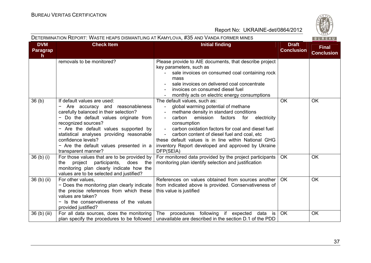

DETERMINATION REPORT: WASTE HEAPS DISMANTLING AT KAMYLOVA, #35 AND VANDA FORMER MINES

| <b>DVM</b><br>Paragrap<br>h. | <b>Check Item</b>                                                                                                                                                                                                                                                                                                                                       | <b>Initial finding</b>                                                                                                                                                                                                                                                                                                                                                                                                                                   | <b>Draft</b><br><b>Conclusion</b> | <b>Final</b><br><b>Conclusion</b> |
|------------------------------|---------------------------------------------------------------------------------------------------------------------------------------------------------------------------------------------------------------------------------------------------------------------------------------------------------------------------------------------------------|----------------------------------------------------------------------------------------------------------------------------------------------------------------------------------------------------------------------------------------------------------------------------------------------------------------------------------------------------------------------------------------------------------------------------------------------------------|-----------------------------------|-----------------------------------|
|                              | removals to be monitored?                                                                                                                                                                                                                                                                                                                               | Please provide to AIE documents, that describe project<br>key parameters, such as<br>sale invoices on consumed coal containing rock<br>mass<br>sale invoices on delivered coal concentrate<br>invoices on consumed diesel fuel<br>monthly acts on electric energy consumptions                                                                                                                                                                           |                                   |                                   |
| 36 <sub>(b)</sub>            | If default values are used:<br>Are accuracy and reasonableness<br>carefully balanced in their selection?<br>- Do the default values originate from<br>recognized sources?<br>- Are the default values supported by<br>statistical analyses providing reasonable<br>confidence levels?<br>- Are the default values presented in a<br>transparent manner? | The default values, such as:<br>global warming potential of methane<br>$\overline{\phantom{a}}$<br>methane density in standard conditions<br>carbon<br>emission factors<br>for<br>electricity<br>consumption<br>carbon oxidation factors for coal and diesel fuel<br>$\sim$ $-$<br>carbon content of diesel fuel and coal, etc<br>these default values is in line within National GHG<br>inventory Report developed and approved by Ukraine<br>DFP(SEIA) | <b>OK</b>                         | <b>OK</b>                         |
| $36(b)$ (i)                  | For those values that are to be provided by<br>project<br>participants,<br>does<br>the<br>the<br>monitoring plan clearly indicate how the<br>values are to be selected and justified?                                                                                                                                                                   | For monitored data provided by the project participants<br>monitoring plan identify selection and justification                                                                                                                                                                                                                                                                                                                                          | <b>OK</b>                         | OK                                |
| 36 (b) (ii)                  | For other values.<br>- Does the monitoring plan clearly indicate<br>the precise references from which these<br>values are taken?<br>- Is the conservativeness of the values<br>provided justified?                                                                                                                                                      | References on values obtained from sources another<br>from indicated above is provided. Conservativeness of<br>this value is justified                                                                                                                                                                                                                                                                                                                   | <b>OK</b>                         | <b>OK</b>                         |
| 36 (b) (iii)                 | For all data sources, does the monitoring<br>plan specify the procedures to be followed                                                                                                                                                                                                                                                                 | The<br>procedures following<br>if expected<br>data is<br>unavailable are described in the section D.1 of the PDD                                                                                                                                                                                                                                                                                                                                         | <b>OK</b>                         | OK                                |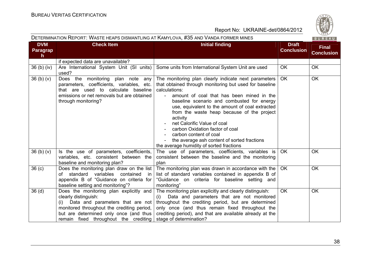| DETERMINATION REPORT: WASTE HEAPS DISMANTLING AT KAMYLOVA, #35 AND VANDA FORMER MINES |                                                                                                                                                                                                           |                                                                                                                                                                                                                                                                                                                                                                                                                                                                                                                                |                                   | BUREAU                            |
|---------------------------------------------------------------------------------------|-----------------------------------------------------------------------------------------------------------------------------------------------------------------------------------------------------------|--------------------------------------------------------------------------------------------------------------------------------------------------------------------------------------------------------------------------------------------------------------------------------------------------------------------------------------------------------------------------------------------------------------------------------------------------------------------------------------------------------------------------------|-----------------------------------|-----------------------------------|
| <b>DVM</b><br><b>Paragrap</b><br>$\mathsf{h}$                                         | <b>Check Item</b><br><b>Initial finding</b>                                                                                                                                                               |                                                                                                                                                                                                                                                                                                                                                                                                                                                                                                                                | <b>Draft</b><br><b>Conclusion</b> | <b>Final</b><br><b>Conclusion</b> |
|                                                                                       | if expected data are unavailable?                                                                                                                                                                         |                                                                                                                                                                                                                                                                                                                                                                                                                                                                                                                                |                                   |                                   |
| 36 <sub>(b)(iv)</sub>                                                                 | Are International System Unit (SI units)<br>used?                                                                                                                                                         | Some units from International System Unit are used                                                                                                                                                                                                                                                                                                                                                                                                                                                                             | <b>OK</b>                         | <b>OK</b>                         |
| 36(b)(v)                                                                              | Does the monitoring plan note any<br>parameters, coefficients, variables, etc.<br>that are used to calculate baseline<br>emissions or net removals but are obtained<br>through monitoring?                | The monitoring plan clearly indicate next parameters<br>that obtained through monitoring but used for baseline<br>calculations:<br>amount of coal that has been mined in the<br>baseline scenario and combusted for energy<br>use, equivalent to the amount of coal extracted<br>from the waste heap because of the project<br>activity<br>net Calorific Value of coal<br>carbon Oxidation factor of coal<br>carbon content of coal<br>the average ash content of sorted fractions<br>the average humidity of sorted fractions | <b>OK</b>                         | <b>OK</b>                         |
| 36(b)(v)                                                                              | Is the use of parameters, coefficients,<br>variables, etc. consistent between the<br>baseline and monitoring plan?                                                                                        | The use of parameters, coefficients, variables is<br>consistent between the baseline and the monitoring<br>plan                                                                                                                                                                                                                                                                                                                                                                                                                | OK.                               | <b>OK</b>                         |
| 36 <sub>(c)</sub>                                                                     | Does the monitoring plan draw on the list<br>of standard variables contained<br>in<br>appendix B of "Guidance on criteria for<br>baseline setting and monitoring"?                                        | The monitoring plan was drawn in accordance with the<br>list of standard variables contained in appendix B of<br>"Guidance on criteria for baseline setting and<br>monitoring"                                                                                                                                                                                                                                                                                                                                                 | OK.                               | OK                                |
| 36 <sub>(d)</sub>                                                                     | Does the monitoring plan explicitly and<br>clearly distinguish:<br>(i)<br>monitored throughout the crediting period,<br>but are determined only once (and thus  <br>remain fixed throughout the crediting | The monitoring plan explicitly and clearly distinguish:<br>(i) Data and parameters that are not monitored<br>Data and parameters that are not throughout the crediting period, but are determined<br>only once (and thus remain fixed throughout the<br>crediting period), and that are available already at the<br>stage of determination?                                                                                                                                                                                    | <b>OK</b>                         | OK                                |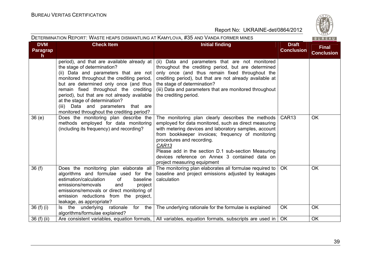| DETERMINATION REPORT: WASTE HEAPS DISMANTLING AT KAMYLOVA, #35 AND VANDA FORMER MINES<br><b>BUREAU</b> |                                                                                                                                                                                                                                                                                                                                                                                                                          |                                                                                                                                                                                                                                                                                                                                                                                                                    |                                   |                                   |
|--------------------------------------------------------------------------------------------------------|--------------------------------------------------------------------------------------------------------------------------------------------------------------------------------------------------------------------------------------------------------------------------------------------------------------------------------------------------------------------------------------------------------------------------|--------------------------------------------------------------------------------------------------------------------------------------------------------------------------------------------------------------------------------------------------------------------------------------------------------------------------------------------------------------------------------------------------------------------|-----------------------------------|-----------------------------------|
| <b>DVM</b><br>Paragrap<br>h.                                                                           | <b>Check Item</b>                                                                                                                                                                                                                                                                                                                                                                                                        | <b>Initial finding</b>                                                                                                                                                                                                                                                                                                                                                                                             | <b>Draft</b><br><b>Conclusion</b> | <b>Final</b><br><b>Conclusion</b> |
|                                                                                                        | period), and that are available already at<br>the stage of determination?<br>(ii) Data and parameters that are not<br>monitored throughout the crediting period,<br>but are determined only once (and thus<br>remain fixed throughout the crediting<br>period), but that are not already available<br>at the stage of determination?<br>(iii) Data and parameters that are<br>monitored throughout the crediting period? | (ii) Data and parameters that are not monitored<br>throughout the crediting period, but are determined<br>only once (and thus remain fixed throughout the<br>crediting period), but that are not already available at<br>the stage of determination?<br>(iii) Data and parameters that are monitored throughout<br>the crediting period.                                                                           |                                   |                                   |
| 36(e)                                                                                                  | Does the monitoring plan describe the<br>methods employed for data monitoring<br>(including its frequency) and recording?                                                                                                                                                                                                                                                                                                | The monitoring plan clearly describes the methods<br>employed for data monitored, such as direct measuring<br>with metering devices and laboratory samples, account<br>from bookkeeper invoices; frequency of monitoring<br>procedures and recording.<br>CAR <sub>13</sub><br>Please add in the section D.1 sub-section Measuring<br>devices reference on Annex 3 contained data on<br>project measuring equipment | CAR <sub>13</sub>                 | <b>OK</b>                         |
| 36(f)                                                                                                  | Does the monitoring plan elaborate all<br>algorithms and formulae used for the<br>of<br>estimation/calculation<br>baseline<br>emissions/removals<br>project<br>and<br>emissions/removals or direct monitoring of<br>emission reductions from the project,<br>leakage, as appropriate?                                                                                                                                    | The monitoring plan elaborates all formulae required to<br>baseline and project emissions adjusted by leakages<br>calculation                                                                                                                                                                                                                                                                                      | OK                                | OK                                |
| 36 $(f)$ $(i)$                                                                                         | for the<br>Is the underlying<br>rationale<br>algorithms/formulae explained?                                                                                                                                                                                                                                                                                                                                              | The underlying rationale for the formulae is explained                                                                                                                                                                                                                                                                                                                                                             | <b>OK</b>                         | OK                                |
| 36 (f) (ii)                                                                                            |                                                                                                                                                                                                                                                                                                                                                                                                                          | Are consistent variables, equation formats,   All variables, equation formats, subscripts are used in                                                                                                                                                                                                                                                                                                              | OK                                | OK                                |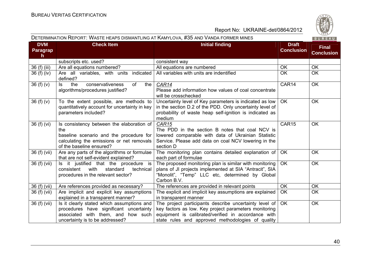#### DETERMINATION REPORT: WASTE HEAPS DISMANTLING AT KAMYLOVA, #35 AND VANDA FORMER MINES

| <b>BUREAU</b> |  |  |  |
|---------------|--|--|--|

| <b>DVM</b><br><b>Paragrap</b><br>$\mathsf{h}$ | <b>Check Item</b>                                                                                                                                                    | <b>Initial finding</b>                                                                                                                                                                                                      | <b>Draft</b><br><b>Conclusion</b> | <b>Final</b><br><b>Conclusion</b> |
|-----------------------------------------------|----------------------------------------------------------------------------------------------------------------------------------------------------------------------|-----------------------------------------------------------------------------------------------------------------------------------------------------------------------------------------------------------------------------|-----------------------------------|-----------------------------------|
|                                               | subscripts etc. used?                                                                                                                                                | consistent way                                                                                                                                                                                                              |                                   |                                   |
| 36 (f) (iii)                                  | Are all equations numbered?                                                                                                                                          | All equations are numbered                                                                                                                                                                                                  | OK                                | OK                                |
| 36(f)(iv)                                     | Are all variables, with units indicated<br>defined?                                                                                                                  | All variables with units are indentified                                                                                                                                                                                    | <b>OK</b>                         | OK                                |
| 36(f)(v)                                      | the<br>conservativeness<br>of<br>the<br>ls.<br>algorithms/procedures justified?                                                                                      | CAR14<br>Please add information how values of coal concentrate<br>will be crosschecked                                                                                                                                      | CAR14                             | OK                                |
| 36(f)(v)                                      | To the extent possible, are methods to<br>quantitatively account for uncertainty in key<br>parameters included?                                                      | Uncertainty level of Key parameters is indicated as low<br>in the section D.2 of the PDD. Only uncertainty level of<br>probability of waste heap self-ignition is indicated as<br>medium                                    | <b>OK</b>                         | <b>OK</b>                         |
| 36(f)(vi)                                     | Is consistency between the elaboration of<br>the<br>baseline scenario and the procedure for<br>calculating the emissions or net removals<br>of the baseline ensured? | CAR <sub>15</sub><br>The PDD in the section B notes that coal NCV is<br>lowered comparable with data of Ukrainian Statistic<br>Service. Please add data on coal NCV lowering in the<br>section D                            | CAR15                             | OK                                |
| 36 (f) (vii)                                  | Are any parts of the algorithms or formulae<br>that are not self-evident explained?                                                                                  | The monitoring plan contains detailed explanation of<br>each part of formulae                                                                                                                                               | OK                                | <b>OK</b>                         |
| 36 (f) (vii)                                  | Is it justified that the procedure is<br>with<br>standard<br>consistent<br>technical<br>procedures in the relevant sector?                                           | The proposed monitoring plan is similar with monitoring<br>plans of JI projects implemented at SIA "Antracit", SIA<br>"Monolit", "Temp" LLC etc, determined by Global<br>Carbon B.V.                                        | <b>OK</b>                         | OK                                |
| 36 (f) (vii)                                  | Are references provided as necessary?                                                                                                                                | The references are provided in relevant points                                                                                                                                                                              | <b>OK</b>                         | <b>OK</b>                         |
| 36 (f) (vii)                                  | Are implicit and explicit key assumptions<br>explained in a transparent manner?                                                                                      | The explicit and implicit key assumptions are explained<br>in transparent manner                                                                                                                                            | <b>OK</b>                         | OK                                |
| 36 (f) (vii)                                  | Is it clearly stated which assumptions and<br>procedures have significant uncertainty<br>associated with them, and how such<br>uncertainty is to be addressed?       | The project participants describe uncertainty level of<br>key factors as low. Key project parameters monitoring<br>equipment is calibrated/verified in accordance with<br>state rules and approved methodologies of quality | <b>OK</b>                         | OK                                |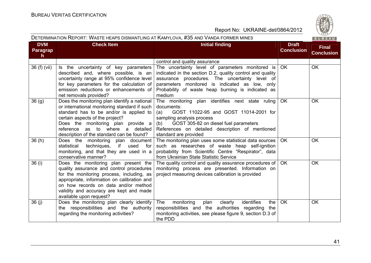BUREAU

Report No: UKRAINE-det/0864/2012

#### DETERMINATION REPORT: WASTE HEAPS DISMANTLING AT KAMYLOVA, #35 AND VANDA FORMER MINES

| <b>DVM</b>        | <b>Check Item</b>                                                                                                                                                                                                                                                                                    | <b>Initial finding</b>                                                                                                                                                                                                                                                           | <b>Draft</b>      | <b>Final</b>      |
|-------------------|------------------------------------------------------------------------------------------------------------------------------------------------------------------------------------------------------------------------------------------------------------------------------------------------------|----------------------------------------------------------------------------------------------------------------------------------------------------------------------------------------------------------------------------------------------------------------------------------|-------------------|-------------------|
| Paragrap<br>h.    |                                                                                                                                                                                                                                                                                                      |                                                                                                                                                                                                                                                                                  | <b>Conclusion</b> | <b>Conclusion</b> |
|                   |                                                                                                                                                                                                                                                                                                      | control and quality assurance                                                                                                                                                                                                                                                    |                   |                   |
| 36 (f) (vii)      | Is the uncertainty of key parameters<br>described and, where possible, is an<br>uncertainty range at 95% confidence level<br>for key parameters for the calculation of<br>emission reductions or enhancements of<br>net removals provided?                                                           | The uncertainty level of parameters monitored is<br>indicated in the section D.2, quality control and quality<br>assurance procedures. The uncertainty level of<br>parameters monitored is indicated as low, only<br>Probability of waste heap burning is indicated as<br>medium | <b>OK</b>         | <b>OK</b>         |
| 36 <sub>(g)</sub> | Does the monitoring plan identify a national<br>or international monitoring standard if such<br>standard has to be and/or is applied to<br>certain aspects of the project?<br>Does the monitoring plan provide a<br>as to where a detailed<br>reference<br>description of the standard can be found? | The monitoring plan identifies next state ruling<br>documents:<br>GOST 11022-95 and GOST 11014-2001 for<br>(a)<br>sampling analysis process<br>GOST 305-82 on diesel fuel parameters<br>(b)<br>References on detailed description of mentioned<br>standard are provided          | <b>OK</b>         | <b>OK</b>         |
| 36(h)             | Does the monitoring plan document<br>techniques, if used<br>statistical<br>for<br>monitoring, and that they are used in a<br>conservative manner?                                                                                                                                                    | The monitoring plan uses some statistical data sources<br>such as researches of waste heap self-ignition<br>probability from Scientific Centre "Respirator", data<br>from Ukrainian State Statistic Service                                                                      | <b>OK</b>         | <b>OK</b>         |
| 36 (i)            | Does the monitoring plan present the<br>quality assurance and control procedures<br>for the monitoring process, including, as<br>appropriate, information on calibration and<br>on how records on data and/or method<br>validity and accuracy are kept and made<br>available upon request?           | The quality control and quality assurance procedures of<br>monitoring process are presented. Information on<br>project measuring devices calibration is provided                                                                                                                 | <b>OK</b>         | OK                |
| 36 (j)            | Does the monitoring plan clearly identify<br>the responsibilities and the authority<br>regarding the monitoring activities?                                                                                                                                                                          | monitoring<br>identifies<br><b>The</b><br>plan<br>clearly<br>the<br>responsibilities and the authorities regarding<br>the<br>monitoring activities, see please figure 9, section D.3 of<br>the PDD                                                                               | <b>OK</b>         | <b>OK</b>         |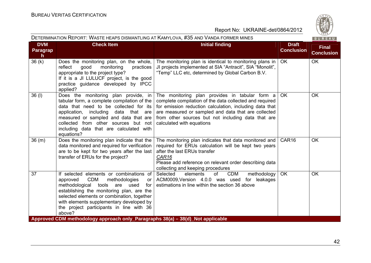|                              |                                                                                                                                                                                                                                                                                                                                              | DETERMINATION REPORT: WASTE HEAPS DISMANTLING AT KAMYLOVA, #35 AND VANDA FORMER MINES                                                                                                                                                                                                                          |                                   | 1820/<br>BUREAU                   |
|------------------------------|----------------------------------------------------------------------------------------------------------------------------------------------------------------------------------------------------------------------------------------------------------------------------------------------------------------------------------------------|----------------------------------------------------------------------------------------------------------------------------------------------------------------------------------------------------------------------------------------------------------------------------------------------------------------|-----------------------------------|-----------------------------------|
| <b>DVM</b><br>Paragrap<br>h. | <b>Check Item</b>                                                                                                                                                                                                                                                                                                                            | <b>Initial finding</b>                                                                                                                                                                                                                                                                                         | <b>Draft</b><br><b>Conclusion</b> | <b>Final</b><br><b>Conclusion</b> |
| 36(k)                        | Does the monitoring plan, on the whole,<br>good<br>reflect<br>monitoring<br>practices<br>appropriate to the project type?<br>If it is a JI LULUCF project, is the good<br>practice guidance developed by IPCC<br>applied?                                                                                                                    | The monitoring plan is identical to monitoring plans in<br>JI projects implemented at SIA "Antracit", SIA "Monolit",<br>"Temp" LLC etc, determined by Global Carbon B.V.                                                                                                                                       | OK                                | <b>OK</b>                         |
| 36(1)                        | Does the monitoring plan provide, in<br>tabular form, a complete compilation of the<br>data that need to be collected for its<br>application, including<br>data that are<br>measured or sampled and data that are<br>collected from other sources but not<br>including data that are calculated with<br>equations?                           | The monitoring plan provides in tabular form a<br>complete compilation of the data collected and required<br>for emission reduction calculation, including data that<br>are measured or sampled and data that are collected<br>from other sources but not including data that are<br>calculated with equations | OK.                               | OK                                |
| 36(m)                        | Does the monitoring plan indicate that the<br>data monitored and required for verification<br>are to be kept for two years after the last<br>transfer of ERUs for the project?                                                                                                                                                               | The monitoring plan indicates that data monitored and<br>required for ERUs calculation will be kept two years<br>after the last ERUs transfer<br>CAR16<br>Please add reference on relevant order describing data<br>collecting and keeping procedures                                                          | CAR <sub>16</sub>                 | <b>OK</b>                         |
| 37                           | If selected elements or combinations of<br>CDM<br>methodologies<br>approved<br>or <sub>1</sub><br>methodological<br>tools<br>used<br>for<br>are<br>establishing the monitoring plan, are the<br>selected elements or combination, together<br>with elements supplementary developed by<br>the project participants in line with 36<br>above? | Selected<br>of<br>CDM<br>methodology<br>elements<br>ACM0009, Version 4.0.0 was used for leakages<br>estimations in line within the section 36 above                                                                                                                                                            | <b>OK</b>                         | <b>OK</b>                         |
|                              | Approved CDM methodology approach only_Paragraphs 38(a) - 38(d)_Not applicable                                                                                                                                                                                                                                                               |                                                                                                                                                                                                                                                                                                                |                                   |                                   |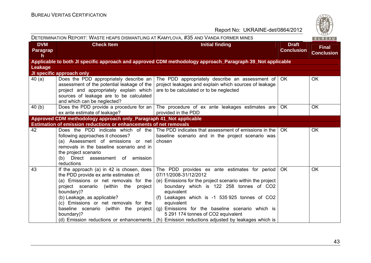| DETERMINATION REPORT: WASTE HEAPS DISMANTLING AT KAMYLOVA, #35 AND VANDA FORMER MINES |                                                                                                                                                                                                                                                                                                                              |                                                                                                                                                                                                                                                                                                                                                                                                                                                                |                                   | 1820/<br>BUREAU                   |
|---------------------------------------------------------------------------------------|------------------------------------------------------------------------------------------------------------------------------------------------------------------------------------------------------------------------------------------------------------------------------------------------------------------------------|----------------------------------------------------------------------------------------------------------------------------------------------------------------------------------------------------------------------------------------------------------------------------------------------------------------------------------------------------------------------------------------------------------------------------------------------------------------|-----------------------------------|-----------------------------------|
| <b>DVM</b><br><b>Paragrap</b><br>h                                                    | <b>Check Item</b>                                                                                                                                                                                                                                                                                                            | <b>Initial finding</b>                                                                                                                                                                                                                                                                                                                                                                                                                                         | <b>Draft</b><br><b>Conclusion</b> | <b>Final</b><br><b>Conclusion</b> |
|                                                                                       |                                                                                                                                                                                                                                                                                                                              | Applicable to both JI specific approach and approved CDM methodology approach_Paragraph 39_Not applicable                                                                                                                                                                                                                                                                                                                                                      |                                   |                                   |
| Leakage                                                                               |                                                                                                                                                                                                                                                                                                                              |                                                                                                                                                                                                                                                                                                                                                                                                                                                                |                                   |                                   |
|                                                                                       | JI specific approach only                                                                                                                                                                                                                                                                                                    |                                                                                                                                                                                                                                                                                                                                                                                                                                                                |                                   |                                   |
| 40(a)                                                                                 | Does the PDD appropriately describe an  <br>assessment of the potential leakage of the<br>project and appropriately explain which<br>sources of leakage are to be calculated<br>and which can be neglected?                                                                                                                  | The PDD appropriately describe an assessment of   OK<br>project leakages and explain which sources of leakage<br>are to be calculated or to be neglected                                                                                                                                                                                                                                                                                                       |                                   | OK                                |
| 40(b)                                                                                 | ex ante estimate of leakage?                                                                                                                                                                                                                                                                                                 | Does the PDD provide a procedure for an $\vert$ The procedure of ex ante leakages estimates are<br>provided in the PDD                                                                                                                                                                                                                                                                                                                                         | OK.                               | <b>OK</b>                         |
|                                                                                       | Approved CDM methodology approach only_Paragraph 41_Not applicable                                                                                                                                                                                                                                                           |                                                                                                                                                                                                                                                                                                                                                                                                                                                                |                                   |                                   |
|                                                                                       | <b>Estimation of emission reductions or enhancements of net removals</b>                                                                                                                                                                                                                                                     |                                                                                                                                                                                                                                                                                                                                                                                                                                                                |                                   |                                   |
| 42                                                                                    | following approaches it chooses?<br>(a) Assessment of emissions or net<br>removals in the baseline scenario and in<br>the project scenario<br>(b) Direct assessment of emission<br>reductions                                                                                                                                | Does the PDD indicate which of the The PDD indicates that assessment of emissions in the<br>baseline scenario and in the project scenario was<br>chosen                                                                                                                                                                                                                                                                                                        | OK.                               | OK                                |
| 43                                                                                    | If the approach (a) in 42 is chosen, does $\vert$<br>the PDD provide ex ante estimates of:<br>(a) Emissions or net removals for the<br>project scenario (within the<br>project<br>boundary)?<br>(b) Leakage, as applicable?<br>(c) Emissions or net removals for the<br>baseline scenario (within the project)<br>boundary)? | The PDD provides ex ante estimates for period<br>07/11/2008-31/12/2012<br>(e) Emissions for the project scenario within the project<br>boundary which is 122 258 tonnes of CO2<br>equivalent<br>(f) Leakages which is -1 535 925 tonnes of CO2<br>equivalent<br>(g) Emissions for the baseline scenario which is<br>5 291 174 tonnes of CO2 equivalent<br>(d) Emission reductions or enhancements $\mid$ (h) Emission reductions adjusted by leakages which is | OK.                               | <b>OK</b>                         |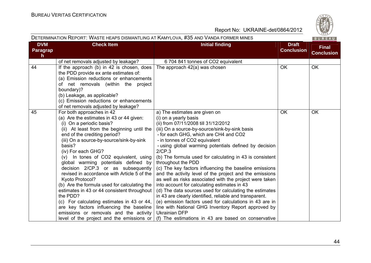| DETERMINATION REPORT: WASTE HEAPS DISMANTLING AT KAMYLOVA, #35 AND VANDA FORMER MINES |                                                                                                                                                                                                                                                                                                                                                                                                                                                                                                                                                                                                                                                                                                                                                  |                                                                                                                                                                                                                                                                                                                                                                                                                                                                                                                                                                                                                                                                                                                                                                                                                                                                                                                                        |                                   |                                   |  |  |
|---------------------------------------------------------------------------------------|--------------------------------------------------------------------------------------------------------------------------------------------------------------------------------------------------------------------------------------------------------------------------------------------------------------------------------------------------------------------------------------------------------------------------------------------------------------------------------------------------------------------------------------------------------------------------------------------------------------------------------------------------------------------------------------------------------------------------------------------------|----------------------------------------------------------------------------------------------------------------------------------------------------------------------------------------------------------------------------------------------------------------------------------------------------------------------------------------------------------------------------------------------------------------------------------------------------------------------------------------------------------------------------------------------------------------------------------------------------------------------------------------------------------------------------------------------------------------------------------------------------------------------------------------------------------------------------------------------------------------------------------------------------------------------------------------|-----------------------------------|-----------------------------------|--|--|
| <b>DVM</b><br><b>Paragrap</b><br>h.                                                   | <b>Check Item</b><br><b>Initial finding</b>                                                                                                                                                                                                                                                                                                                                                                                                                                                                                                                                                                                                                                                                                                      |                                                                                                                                                                                                                                                                                                                                                                                                                                                                                                                                                                                                                                                                                                                                                                                                                                                                                                                                        | <b>Draft</b><br><b>Conclusion</b> | <b>Final</b><br><b>Conclusion</b> |  |  |
|                                                                                       | of net removals adjusted by leakage?                                                                                                                                                                                                                                                                                                                                                                                                                                                                                                                                                                                                                                                                                                             | 6 704 841 tonnes of CO2 equivalent                                                                                                                                                                                                                                                                                                                                                                                                                                                                                                                                                                                                                                                                                                                                                                                                                                                                                                     |                                   |                                   |  |  |
| 44                                                                                    | If the approach (b) in 42 is chosen, does<br>the PDD provide ex ante estimates of:<br>(a) Emission reductions or enhancements<br>of net removals (within the project<br>boundary)?<br>(b) Leakage, as applicable?<br>(c) Emission reductions or enhancements<br>of net removals adjusted by leakage?                                                                                                                                                                                                                                                                                                                                                                                                                                             | The approach 42(a) was chosen                                                                                                                                                                                                                                                                                                                                                                                                                                                                                                                                                                                                                                                                                                                                                                                                                                                                                                          | <b>OK</b>                         | <b>OK</b>                         |  |  |
| 45                                                                                    | For both approaches in 42<br>(a) Are the estimates in 43 or 44 given:<br>(i) On a periodic basis?<br>(ii) At least from the beginning until the<br>end of the crediting period?<br>(iii) On a source-by-source/sink-by-sink<br>basis?<br>(iv) For each GHG?<br>(v) In tones of CO2 equivalent, using<br>global warming potentials defined by<br>decision 2/CP.3 or as subsequently<br>revised in accordance with Article 5 of the<br>Kyoto Protocol?<br>(b) Are the formula used for calculating the<br>estimates in 43 or 44 consistent throughout<br>the PDD?<br>(c) For calculating estimates in 43 or 44,<br>are key factors influencing the baseline<br>emissions or removals and the activity<br>level of the project and the emissions or | a) The estimates are given on<br>(i) on a yearly basis<br>(ii) from 07/11/2008 till 31/12/2012<br>(iii) On a source-by-source/sink-by-sink basis<br>- for each GHG, which are CH4 and CO2<br>- in tonnes of CO2 equivalent<br>- using global warming potentials defined by decision<br>2/CP.3<br>(b) The formula used for calculating in 43 is consistent<br>throughout the PDD<br>(c) The key factors influencing the baseline emissions<br>and the activity level of the project and the emissions<br>as well as risks associated with the project were taken<br>into account for calculating estimates in 43<br>(d) The data sources used for calculating the estimates<br>in 43 are clearly identified, reliable and transparent.<br>(e) emission factors used for calculations in 43 are in<br>line with National GHG Inventory Report approved by<br><b>Ukrainian DFP</b><br>(f) The estimations in 43 are based on conservative | <b>OK</b>                         | OK                                |  |  |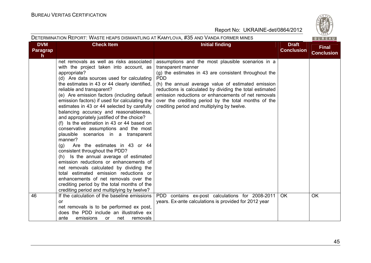| DETERMINATION REPORT: WASTE HEAPS DISMANTLING AT KAMYLOVA, #35 AND VANDA FORMER MINES |                                                                                                                                                                                                                                                                                                                                                                                                                                                                                                                                                                                                                                                                                                                                                                                                                                                                                                                                                                                                           |                                                                                                                                                                                                                                                                                                                                                                                                                                |                                   |                                   |  |  |
|---------------------------------------------------------------------------------------|-----------------------------------------------------------------------------------------------------------------------------------------------------------------------------------------------------------------------------------------------------------------------------------------------------------------------------------------------------------------------------------------------------------------------------------------------------------------------------------------------------------------------------------------------------------------------------------------------------------------------------------------------------------------------------------------------------------------------------------------------------------------------------------------------------------------------------------------------------------------------------------------------------------------------------------------------------------------------------------------------------------|--------------------------------------------------------------------------------------------------------------------------------------------------------------------------------------------------------------------------------------------------------------------------------------------------------------------------------------------------------------------------------------------------------------------------------|-----------------------------------|-----------------------------------|--|--|
| <b>DVM</b><br>Paragrap<br>h.                                                          | <b>Check Item</b>                                                                                                                                                                                                                                                                                                                                                                                                                                                                                                                                                                                                                                                                                                                                                                                                                                                                                                                                                                                         | <b>Initial finding</b>                                                                                                                                                                                                                                                                                                                                                                                                         | <b>Draft</b><br><b>Conclusion</b> | <b>Final</b><br><b>Conclusion</b> |  |  |
|                                                                                       | net removals as well as risks associated<br>with the project taken into account, as<br>appropriate?<br>(d) Are data sources used for calculating<br>the estimates in 43 or 44 clearly identified,<br>reliable and transparent?<br>(e) Are emission factors (including default<br>emission factors) if used for calculating the<br>estimates in 43 or 44 selected by carefully<br>balancing accuracy and reasonableness,<br>and appropriately justified of the choice?<br>(f) Is the estimation in 43 or 44 based on<br>conservative assumptions and the most<br>plausible scenarios in a transparent<br>manner?<br>Are the estimates in 43 or 44<br>(g)<br>consistent throughout the PDD?<br>(h) Is the annual average of estimated<br>emission reductions or enhancements of<br>net removals calculated by dividing the<br>total estimated emission reductions or<br>enhancements of net removals over the<br>crediting period by the total months of the<br>crediting period and multiplying by twelve? | assumptions and the most plausible scenarios in a<br>transparent manner<br>(g) the estimates in 43 are consistent throughout the<br><b>PDD</b><br>(h) the annual average value of estimated emission<br>reductions is calculated by dividing the total estimated<br>emission reductions or enhancements of net removals<br>over the crediting period by the total months of the<br>crediting period and multiplying by twelve. |                                   |                                   |  |  |
| 46                                                                                    | If the calculation of the baseline emissions<br>or<br>net removals is to be performed ex post,<br>does the PDD include an illustrative ex<br>ante<br>emissions<br>net<br>removals<br><b>or</b>                                                                                                                                                                                                                                                                                                                                                                                                                                                                                                                                                                                                                                                                                                                                                                                                            | PDD contains ex-post calculations for 2008-2011<br>years. Ex-ante calculations is provided for 2012 year                                                                                                                                                                                                                                                                                                                       | <b>OK</b>                         | OK                                |  |  |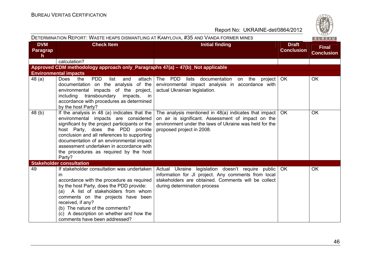| DETERMINATION REPORT: WASTE HEAPS DISMANTLING AT KAMYLOVA, #35 AND VANDA FORMER MINES |                                                                                                                                                                                                                                                                                                                                                                       |                                                                                                                                                                                                      |                                   |                                   |  |  |
|---------------------------------------------------------------------------------------|-----------------------------------------------------------------------------------------------------------------------------------------------------------------------------------------------------------------------------------------------------------------------------------------------------------------------------------------------------------------------|------------------------------------------------------------------------------------------------------------------------------------------------------------------------------------------------------|-----------------------------------|-----------------------------------|--|--|
| <b>DVM</b><br>Paragrap<br>$\mathsf{h}$                                                | <b>Check Item</b>                                                                                                                                                                                                                                                                                                                                                     | <b>Initial finding</b>                                                                                                                                                                               | <b>Draft</b><br><b>Conclusion</b> | <b>Final</b><br><b>Conclusion</b> |  |  |
|                                                                                       | calculation?                                                                                                                                                                                                                                                                                                                                                          |                                                                                                                                                                                                      |                                   |                                   |  |  |
|                                                                                       | Approved CDM methodology approach only_Paragraphs 47(a) - 47(b)_Not applicable                                                                                                                                                                                                                                                                                        |                                                                                                                                                                                                      |                                   |                                   |  |  |
|                                                                                       | <b>Environmental impacts</b>                                                                                                                                                                                                                                                                                                                                          |                                                                                                                                                                                                      |                                   |                                   |  |  |
| 48 (a)                                                                                | Does<br><b>PDD</b><br>attach<br>the<br>list<br>and<br>documentation on the analysis<br>of the<br>environmental impacts of the project,<br>transboundary<br>impacts, in<br>including<br>accordance with procedures as determined<br>by the host Party?                                                                                                                 | The PDD lists<br>documentation on the<br>project   OK<br>environmental impact analysis in accordance with<br>actual Ukrainian legislation.                                                           |                                   | <b>OK</b>                         |  |  |
| 48(b)                                                                                 | If the analysis in 48 (a) indicates that the<br>environmental impacts are considered<br>significant by the project participants or the<br>host Party, does the PDD provide<br>conclusion and all references to supporting<br>documentation of an environmental impact<br>assessment undertaken in accordance with<br>the procedures as required by the host<br>Party? | The analysis mentioned in $48(a)$ indicates that impact<br>on air is significant. Assessment of impact on the<br>environment under the laws of Ukraine was held for the<br>proposed project in 2008. | OK.                               | <b>OK</b>                         |  |  |
|                                                                                       | <b>Stakeholder consultation</b>                                                                                                                                                                                                                                                                                                                                       |                                                                                                                                                                                                      |                                   |                                   |  |  |
| 49                                                                                    | If stakeholder consultation was undertaken<br>in<br>accordance with the procedure as required<br>by the host Party, does the PDD provide:<br>(a) A list of stakeholders from whom<br>comments on the projects have been<br>received, if any?<br>(b) The nature of the comments?<br>(c) A description on whether and how the<br>comments have been addressed?          | Actual Ukraine legislation doesn't require public<br>information for JI project. Any comments from local<br>stakeholders are obtained. Comments will be collect<br>during determination process      | <b>OK</b>                         | <b>OK</b>                         |  |  |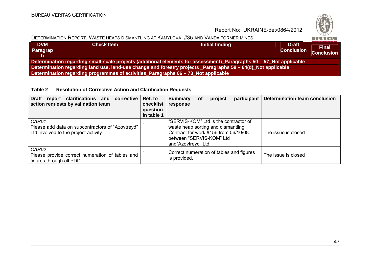

| DETERMINATION REPORT: WASTE HEAPS DISMANTLING AT KAMYLOVA, #35 AND VANDA FORMER MINES                               |                   |                 |                                   |                                   |  |  |  |
|---------------------------------------------------------------------------------------------------------------------|-------------------|-----------------|-----------------------------------|-----------------------------------|--|--|--|
| <b>DVM</b><br><b>Paragrap</b><br>Th.                                                                                | <b>Check Item</b> | Initial finding | <b>Draft</b><br><b>Conclusion</b> | <b>Final</b><br><b>Conclusion</b> |  |  |  |
| Determination regarding small-scale projects (additional elements for assessment)_Paragraphs 50 - 57_Not applicable |                   |                 |                                   |                                   |  |  |  |
| Determination regarding land use, land-use change and forestry projects _Paragraphs 58 – 64(d)_Not applicable       |                   |                 |                                   |                                   |  |  |  |
| Determination regarding programmes of activities_Paragraphs 66 - 73_Not applicable                                  |                   |                 |                                   |                                   |  |  |  |

**Table 2 Resolution of Corrective Action and Clarification Requests** 

| <b>Draft</b><br>report clarifications and<br>corrective<br>action requests by validation team      | Ref. to<br>checklist<br>question<br>in table 1 | <b>Summary</b><br>response                                                                                                                                              | <b>of</b> | project | participant | <b>Determination team conclusion</b> |
|----------------------------------------------------------------------------------------------------|------------------------------------------------|-------------------------------------------------------------------------------------------------------------------------------------------------------------------------|-----------|---------|-------------|--------------------------------------|
| CAR01<br>Please add data on subcontractors of "Azovtreyd"<br>Ltd involved to the project activity. |                                                | "SERVIS-KOM" Ltd is the contractor of<br>waste heap sorting and dismantling.<br>Contract for work #156 from 06/10/08<br>between "SERVIS-KOM" Ltd<br>and "Azovtreyd" Ltd |           |         |             | The issue is closed                  |
| CAR02<br>Please provide correct numeration of tables and<br>figures through all PDD                |                                                | Correct numeration of tables and figures<br>is provided.                                                                                                                |           |         |             | The issue is closed                  |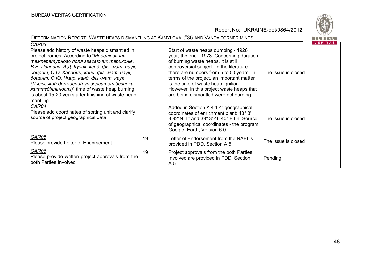

| DETERMINATION REPORT: WASTE HEAPS DISMANTLING AT KAMYLOVA, #35 AND VANDA FORMER MINES                                                                                                                                                                                                                                                                                                                                                                                 |    |                                                                                                                                                                                                                                                                                                                                                                                           |                     |                |  |  |
|-----------------------------------------------------------------------------------------------------------------------------------------------------------------------------------------------------------------------------------------------------------------------------------------------------------------------------------------------------------------------------------------------------------------------------------------------------------------------|----|-------------------------------------------------------------------------------------------------------------------------------------------------------------------------------------------------------------------------------------------------------------------------------------------------------------------------------------------------------------------------------------------|---------------------|----------------|--|--|
| CAR03<br>Please add history of waste heaps dismantled in<br>project frames. According to "Моделювання<br>температурного поля згасаючих териконів,<br>В.В. Попович, А.Д. Кузик, канд. фіз.-мат. наук,<br>доцент, О.О. Карабин, канд. фіз.-мат. наук,<br>доцент, О.Ю. Чмир, канд. фіз.-мат. наук<br>(Львівський державний університет безпеки<br><i>життедіяльності)</i> " time of waste heap burning<br>is about 15-20 years after finishing of waste heap<br>mantling |    | Start of waste heaps dumping - 1928<br>year, the end - 1973. Concerning duration<br>of burning waste heaps, it is still<br>controversial subject. In the literature<br>there are numbers from 5 to 50 years. In<br>terms of the project, an important matter<br>is the time of waste heap ignition.<br>However, in this project waste heaps that<br>are being dismantled were not burning | The issue is closed | <b>VERITAS</b> |  |  |
| CAR04<br>Please add coordinates of sorting unit and clarify<br>source of project geographical data                                                                                                                                                                                                                                                                                                                                                                    |    | Added in Section A 4.1.4: geographical<br>coordinates of enrichment plant: 48° 8'<br>3.92"N. Lt and 39° 3' 46.40" E.Ln. Source<br>of geographical coordinates - the program<br>Google -Earth, Version 6.0                                                                                                                                                                                 | The issue is closed |                |  |  |
| CAR05<br>Please provide Letter of Endorsement                                                                                                                                                                                                                                                                                                                                                                                                                         | 19 | Letter of Endorsement from the NAEI is<br>provided in PDD, Section A.5                                                                                                                                                                                                                                                                                                                    | The issue is closed |                |  |  |
| CAR06<br>Please provide written project approvals from the<br>both Parties Involved                                                                                                                                                                                                                                                                                                                                                                                   | 19 | Project approvals from the both Parties<br>Involved are provided in PDD, Section<br>A.5                                                                                                                                                                                                                                                                                                   | Pending             |                |  |  |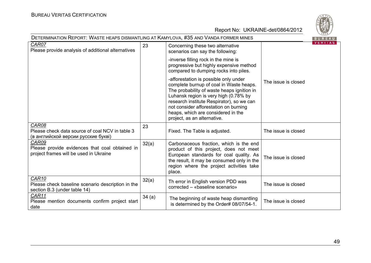

| DETERMINATION REPORT: WASTE HEAPS DISMANTLING AT KAMYLOVA, #35 AND VANDA FORMER MINES                  |       |                                                                                                                                                                                                                                                                                                                                    |                     |                |  |
|--------------------------------------------------------------------------------------------------------|-------|------------------------------------------------------------------------------------------------------------------------------------------------------------------------------------------------------------------------------------------------------------------------------------------------------------------------------------|---------------------|----------------|--|
| CAR07<br>Please provide analysis of additional alternatives                                            | 23    | Concerning these two alternative<br>scenarios can say the following:                                                                                                                                                                                                                                                               |                     | <b>VERIIAS</b> |  |
|                                                                                                        |       | -inverse filling rock in the mine is<br>progressive but highly expensive method<br>compared to dumping rocks into piles.                                                                                                                                                                                                           |                     |                |  |
|                                                                                                        |       | -afforestation is possible only under<br>complete burnup of coal in Waste heaps.<br>The probability of waste heaps ignition in<br>Luhansk region is very high (0.78% by<br>research institute Respirator), so we can<br>not consider afforestation on burning<br>heaps, which are considered in the<br>project, as an alternative. | The issue is closed |                |  |
| CAR08<br>Please check data source of coal NCV in table 3<br>(в английской версии русские букві)        | 23    | Fixed. The Table is adjusted.                                                                                                                                                                                                                                                                                                      | The issue is closed |                |  |
| CAR09<br>Please provide evidences that coal obtained in<br>project frames will be used in Ukraine      | 32(a) | Carbonaceous fraction, which is the end<br>product of this project, does not meet<br>European standards for coal quality. As<br>the result, it may be consumed only in the<br>region where the project activities take<br>place.                                                                                                   | The issue is closed |                |  |
| CAR <sub>10</sub><br>Please check baseline scenario description in the<br>section B.3 (under table 14) | 32(a) | Th error in English version PDD was<br>corrected – «baseline scenario»                                                                                                                                                                                                                                                             | The issue is closed |                |  |
| CAR11<br>Please mention documents confirm project start<br>date                                        | 34(a) | The beginning of waste heap dismantling<br>is determined by the Order# 08/07/54-1.                                                                                                                                                                                                                                                 | The issue is closed |                |  |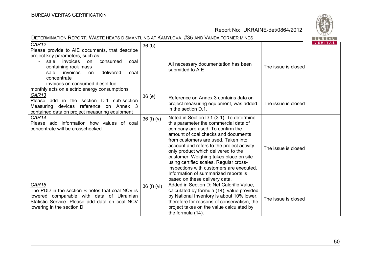

| DETERMINATION REPORT: WASTE HEAPS DISMANTLING AT KAMYLOVA, #35 AND VANDA FORMER MINES                                                                                                                                                                                                                         |                   |                                                                                                                                                                                                                                                                                                                                                                                                                                                                                                   |                     |  |  |
|---------------------------------------------------------------------------------------------------------------------------------------------------------------------------------------------------------------------------------------------------------------------------------------------------------------|-------------------|---------------------------------------------------------------------------------------------------------------------------------------------------------------------------------------------------------------------------------------------------------------------------------------------------------------------------------------------------------------------------------------------------------------------------------------------------------------------------------------------------|---------------------|--|--|
| CAR12<br>Please provide to AIE documents, that describe<br>project key parameters, such as<br>sale invoices on<br>consumed<br>coal<br>containing rock mass<br>delivered<br>sale<br>invoices<br>coal<br>on.<br>concentrate<br>invoices on consumed diesel fuel<br>monthly acts on electric energy consumptions | 36 <sub>(b)</sub> | All necessary documentation has been<br>submitted to AIE                                                                                                                                                                                                                                                                                                                                                                                                                                          | The issue is closed |  |  |
| CAR13<br>Please add in the section D.1 sub-section<br>Measuring devices reference on Annex 3<br>contained data on project measuring equipment                                                                                                                                                                 | 36(e)             | Reference on Annex 3 contains data on<br>project measuring equipment, was added<br>in the section D.1.                                                                                                                                                                                                                                                                                                                                                                                            | The issue is closed |  |  |
| CAR14<br>Please add information how values of coal<br>concentrate will be crosschecked                                                                                                                                                                                                                        | 36 $(f)(v)$       | Noted in Section D.1 (3.1): To determine<br>this parameter the commercial data of<br>company are used. To confirm the<br>amount of coal checks and documents<br>from customers are used. Taken into<br>account and refers to the project activity<br>only product which delivered to the<br>customer. Weighing takes place on site<br>using certified scales. Regular cross-<br>inspections with customers are executed.<br>Information of summarized reports is<br>based on these delivery data. | The issue is closed |  |  |
| CAR <sub>15</sub><br>The PDD in the section B notes that coal NCV is<br>lowered comparable with data of Ukrainian<br>Statistic Service. Please add data on coal NCV<br>lowering in the section D                                                                                                              | 36(f)(vi)         | Added in Section D: Net Calorific Value,<br>calculated by formula (14), value provided<br>by National Inventory is about 10% lower,<br>therefore for reasons of conservatism, the<br>project takes on the value calculated by<br>the formula (14).                                                                                                                                                                                                                                                | The issue is closed |  |  |